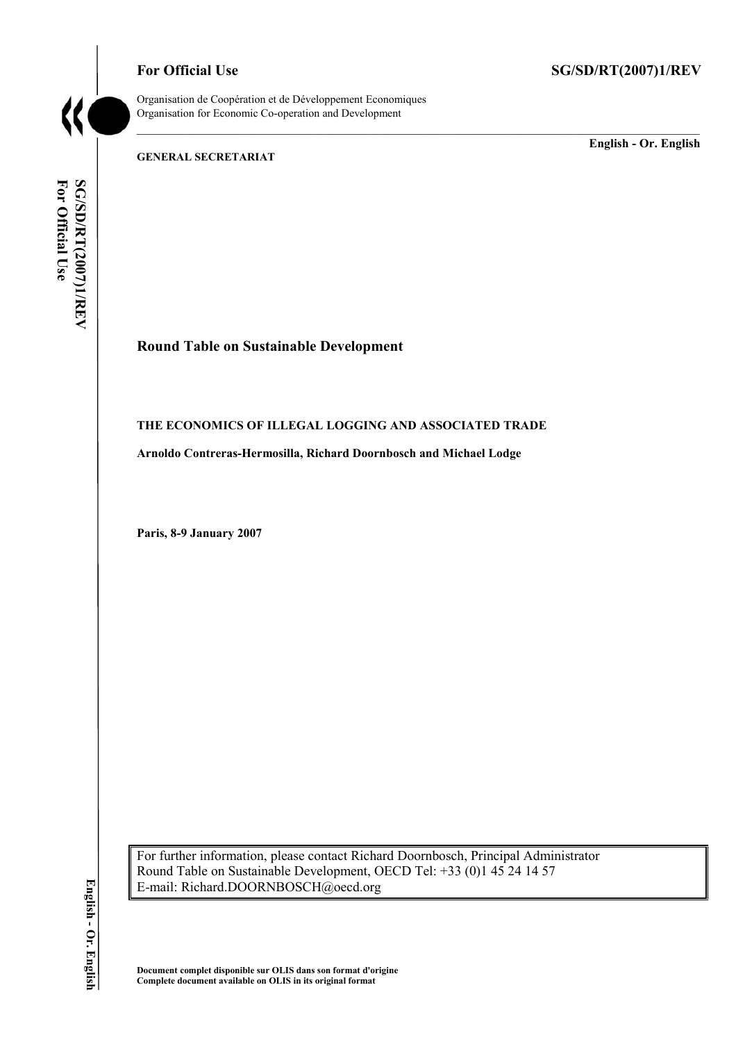

Organisation de Coopération et de Développement Economiques Organisation for Economic Co-operation and Development

**GENERAL SECRETARIAT** 

**English - Or. English** 

For Official Use SG/SD/RT(2007)1/REV **For Official Use SG/SD/RT(2007)1/REV English - Or. English** 

# **Round Table on Sustainable Development**

## **THE ECONOMICS OF ILLEGAL LOGGING AND ASSOCIATED TRADE**

**Arnoldo Contreras-Hermosilla, Richard Doornbosch and Michael Lodge** 

**Paris, 8-9 January 2007** 

For further information, please contact Richard Doornbosch, Principal Administrator Round Table on Sustainable Development, OECD Tel: +33 (0)1 45 24 14 57 E-mail: Richard.DOORNBOSCH@oecd.org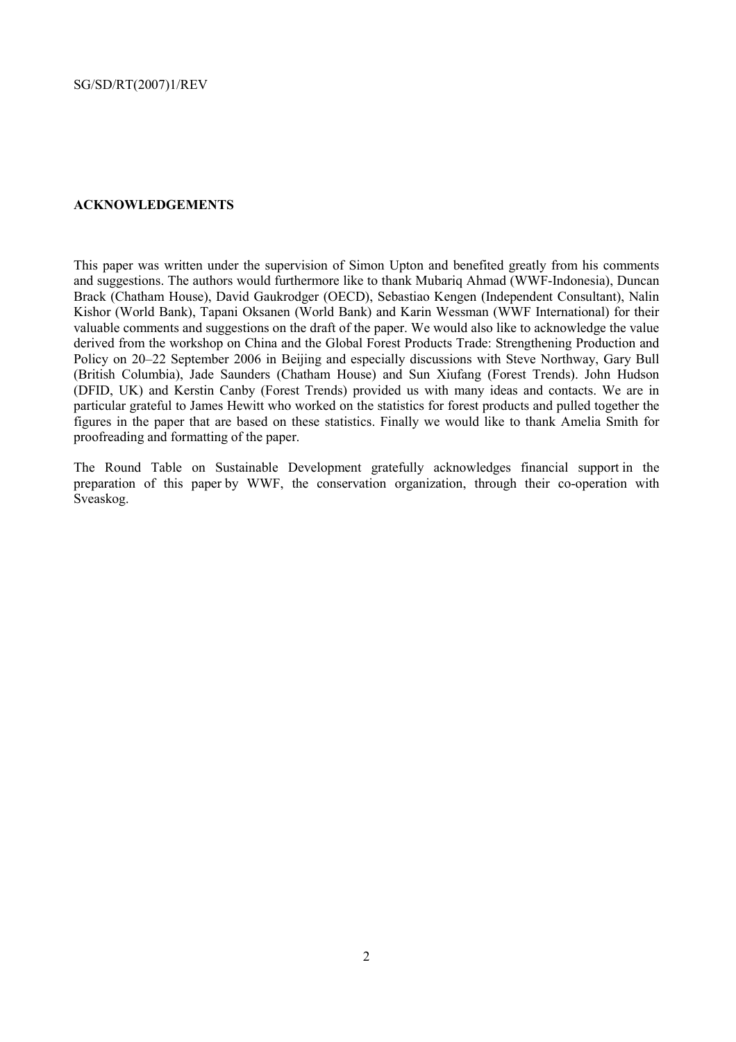## **ACKNOWLEDGEMENTS**

This paper was written under the supervision of Simon Upton and benefited greatly from his comments and suggestions. The authors would furthermore like to thank Mubariq Ahmad (WWF-Indonesia), Duncan Brack (Chatham House), David Gaukrodger (OECD), Sebastiao Kengen (Independent Consultant), Nalin Kishor (World Bank), Tapani Oksanen (World Bank) and Karin Wessman (WWF International) for their valuable comments and suggestions on the draft of the paper. We would also like to acknowledge the value derived from the workshop on China and the Global Forest Products Trade: Strengthening Production and Policy on 20–22 September 2006 in Beijing and especially discussions with Steve Northway, Gary Bull (British Columbia), Jade Saunders (Chatham House) and Sun Xiufang (Forest Trends). John Hudson (DFID, UK) and Kerstin Canby (Forest Trends) provided us with many ideas and contacts. We are in particular grateful to James Hewitt who worked on the statistics for forest products and pulled together the figures in the paper that are based on these statistics. Finally we would like to thank Amelia Smith for proofreading and formatting of the paper.

The Round Table on Sustainable Development gratefully acknowledges financial support in the preparation of this paper by WWF, the conservation organization, through their co-operation with Sveaskog.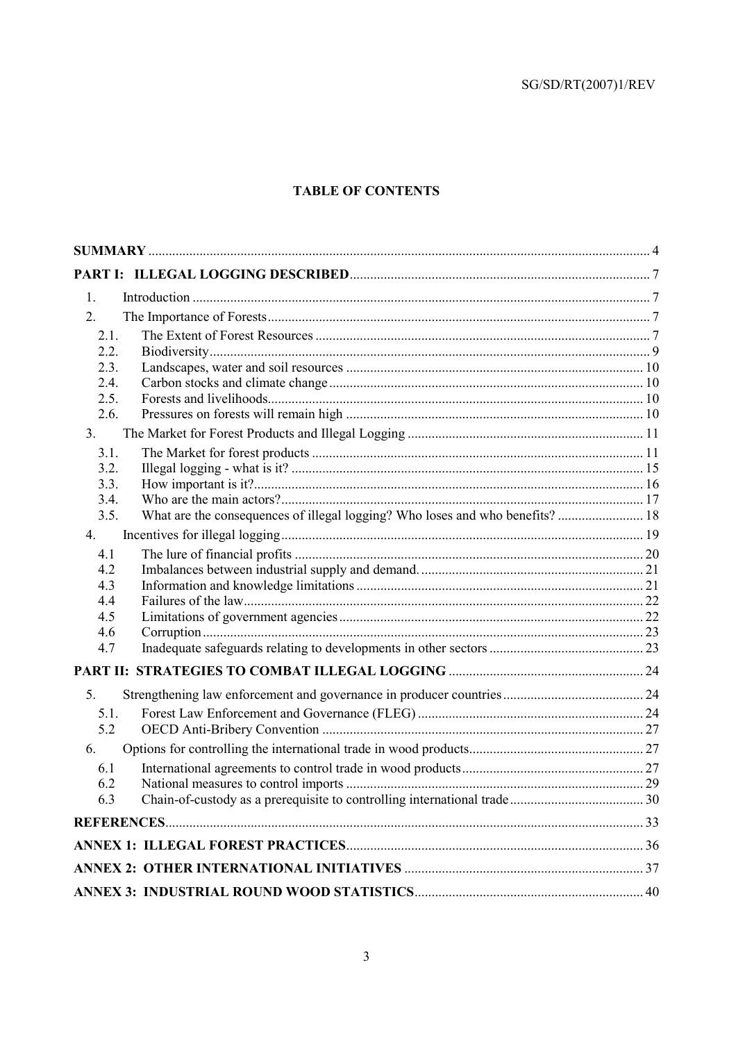# **TABLE OF CONTENTS**

| 1.           |  |
|--------------|--|
| 2.           |  |
| 2.1.         |  |
| 2.2.         |  |
| 2.3.         |  |
| 2.4.         |  |
| 2.5.         |  |
| 2.6.         |  |
| 3.           |  |
| 3.1.         |  |
| 3.2.         |  |
| 3.3.         |  |
| 3.4.<br>3.5. |  |
|              |  |
| 4.           |  |
| 4.1          |  |
| 4.2<br>4.3   |  |
| 4.4          |  |
| 4.5          |  |
| 4.6          |  |
| 4.7          |  |
|              |  |
| 5.           |  |
| 5.1.         |  |
| 5.2          |  |
| 6.           |  |
| 6.1          |  |
| 6.2          |  |
| 6.3          |  |
|              |  |
|              |  |
|              |  |
|              |  |
|              |  |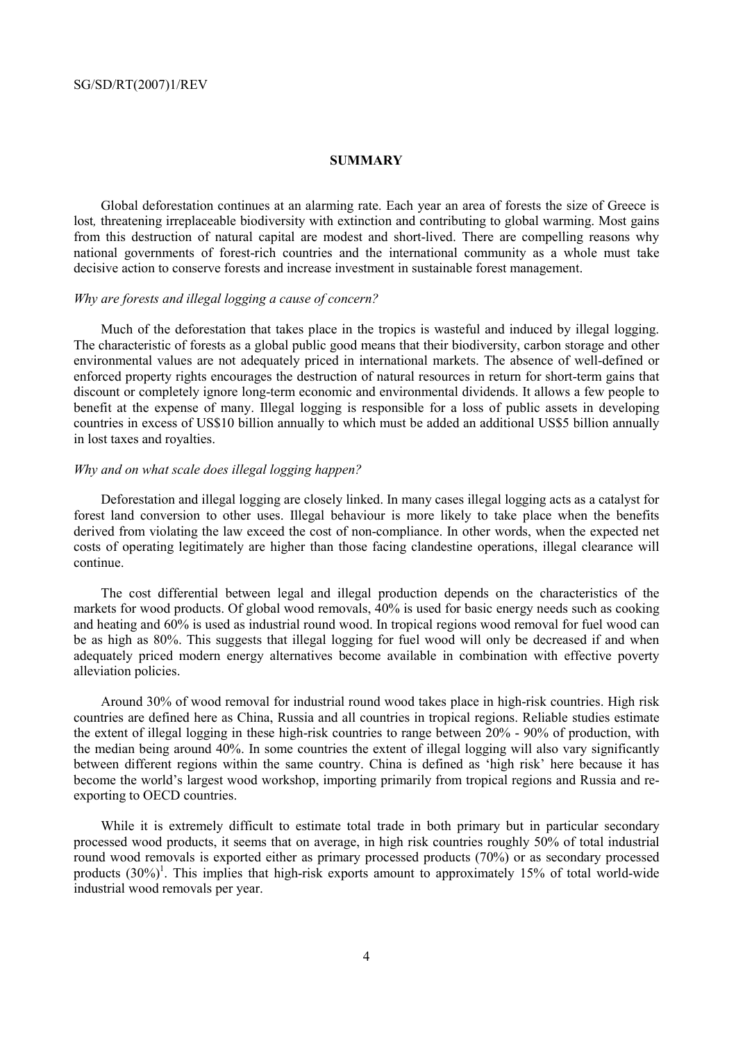#### **SUMMARY**

Global deforestation continues at an alarming rate. Each year an area of forests the size of Greece is lost*,* threatening irreplaceable biodiversity with extinction and contributing to global warming. Most gains from this destruction of natural capital are modest and short-lived. There are compelling reasons why national governments of forest-rich countries and the international community as a whole must take decisive action to conserve forests and increase investment in sustainable forest management.

#### *Why are forests and illegal logging a cause of concern?*

Much of the deforestation that takes place in the tropics is wasteful and induced by illegal logging. The characteristic of forests as a global public good means that their biodiversity, carbon storage and other environmental values are not adequately priced in international markets. The absence of well-defined or enforced property rights encourages the destruction of natural resources in return for short-term gains that discount or completely ignore long-term economic and environmental dividends. It allows a few people to benefit at the expense of many. Illegal logging is responsible for a loss of public assets in developing countries in excess of US\$10 billion annually to which must be added an additional US\$5 billion annually in lost taxes and royalties.

### *Why and on what scale does illegal logging happen?*

Deforestation and illegal logging are closely linked. In many cases illegal logging acts as a catalyst for forest land conversion to other uses. Illegal behaviour is more likely to take place when the benefits derived from violating the law exceed the cost of non-compliance. In other words, when the expected net costs of operating legitimately are higher than those facing clandestine operations, illegal clearance will continue.

The cost differential between legal and illegal production depends on the characteristics of the markets for wood products. Of global wood removals, 40% is used for basic energy needs such as cooking and heating and 60% is used as industrial round wood. In tropical regions wood removal for fuel wood can be as high as 80%. This suggests that illegal logging for fuel wood will only be decreased if and when adequately priced modern energy alternatives become available in combination with effective poverty alleviation policies.

Around 30% of wood removal for industrial round wood takes place in high-risk countries. High risk countries are defined here as China, Russia and all countries in tropical regions. Reliable studies estimate the extent of illegal logging in these high-risk countries to range between 20% - 90% of production, with the median being around 40%. In some countries the extent of illegal logging will also vary significantly between different regions within the same country. China is defined as 'high risk' here because it has become the world's largest wood workshop, importing primarily from tropical regions and Russia and reexporting to OECD countries.

While it is extremely difficult to estimate total trade in both primary but in particular secondary processed wood products, it seems that on average, in high risk countries roughly 50% of total industrial round wood removals is exported either as primary processed products (70%) or as secondary processed products  $(30\%)^1$ . This implies that high-risk exports amount to approximately 15% of total world-wide industrial wood removals per year.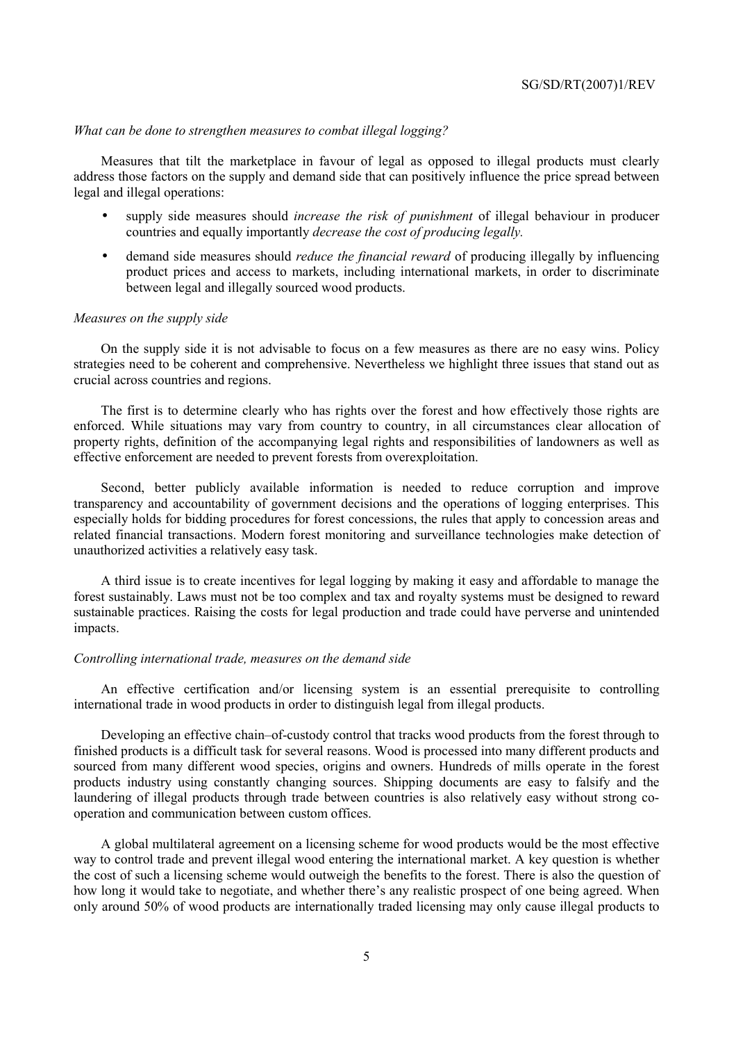#### *What can be done to strengthen measures to combat illegal logging?*

Measures that tilt the marketplace in favour of legal as opposed to illegal products must clearly address those factors on the supply and demand side that can positively influence the price spread between legal and illegal operations:

- supply side measures should *increase the risk of punishment* of illegal behaviour in producer countries and equally importantly *decrease the cost of producing legally.*
- demand side measures should *reduce the financial reward* of producing illegally by influencing product prices and access to markets, including international markets, in order to discriminate between legal and illegally sourced wood products.

#### *Measures on the supply side*

On the supply side it is not advisable to focus on a few measures as there are no easy wins. Policy strategies need to be coherent and comprehensive. Nevertheless we highlight three issues that stand out as crucial across countries and regions.

The first is to determine clearly who has rights over the forest and how effectively those rights are enforced. While situations may vary from country to country, in all circumstances clear allocation of property rights, definition of the accompanying legal rights and responsibilities of landowners as well as effective enforcement are needed to prevent forests from overexploitation.

Second, better publicly available information is needed to reduce corruption and improve transparency and accountability of government decisions and the operations of logging enterprises. This especially holds for bidding procedures for forest concessions, the rules that apply to concession areas and related financial transactions. Modern forest monitoring and surveillance technologies make detection of unauthorized activities a relatively easy task.

A third issue is to create incentives for legal logging by making it easy and affordable to manage the forest sustainably. Laws must not be too complex and tax and royalty systems must be designed to reward sustainable practices. Raising the costs for legal production and trade could have perverse and unintended impacts.

#### *Controlling international trade, measures on the demand side*

An effective certification and/or licensing system is an essential prerequisite to controlling international trade in wood products in order to distinguish legal from illegal products.

Developing an effective chain–of-custody control that tracks wood products from the forest through to finished products is a difficult task for several reasons. Wood is processed into many different products and sourced from many different wood species, origins and owners. Hundreds of mills operate in the forest products industry using constantly changing sources. Shipping documents are easy to falsify and the laundering of illegal products through trade between countries is also relatively easy without strong cooperation and communication between custom offices.

A global multilateral agreement on a licensing scheme for wood products would be the most effective way to control trade and prevent illegal wood entering the international market. A key question is whether the cost of such a licensing scheme would outweigh the benefits to the forest. There is also the question of how long it would take to negotiate, and whether there's any realistic prospect of one being agreed. When only around 50% of wood products are internationally traded licensing may only cause illegal products to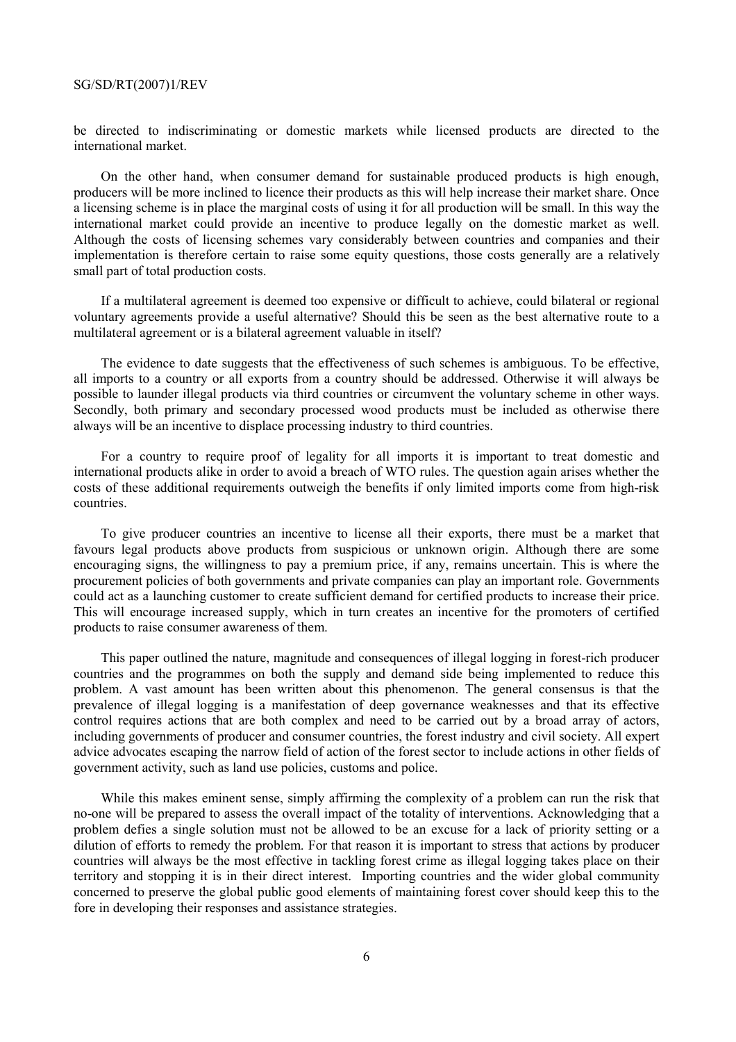be directed to indiscriminating or domestic markets while licensed products are directed to the international market.

On the other hand, when consumer demand for sustainable produced products is high enough, producers will be more inclined to licence their products as this will help increase their market share. Once a licensing scheme is in place the marginal costs of using it for all production will be small. In this way the international market could provide an incentive to produce legally on the domestic market as well. Although the costs of licensing schemes vary considerably between countries and companies and their implementation is therefore certain to raise some equity questions, those costs generally are a relatively small part of total production costs.

If a multilateral agreement is deemed too expensive or difficult to achieve, could bilateral or regional voluntary agreements provide a useful alternative? Should this be seen as the best alternative route to a multilateral agreement or is a bilateral agreement valuable in itself?

The evidence to date suggests that the effectiveness of such schemes is ambiguous. To be effective, all imports to a country or all exports from a country should be addressed. Otherwise it will always be possible to launder illegal products via third countries or circumvent the voluntary scheme in other ways. Secondly, both primary and secondary processed wood products must be included as otherwise there always will be an incentive to displace processing industry to third countries.

For a country to require proof of legality for all imports it is important to treat domestic and international products alike in order to avoid a breach of WTO rules. The question again arises whether the costs of these additional requirements outweigh the benefits if only limited imports come from high-risk countries.

To give producer countries an incentive to license all their exports, there must be a market that favours legal products above products from suspicious or unknown origin. Although there are some encouraging signs, the willingness to pay a premium price, if any, remains uncertain. This is where the procurement policies of both governments and private companies can play an important role. Governments could act as a launching customer to create sufficient demand for certified products to increase their price. This will encourage increased supply, which in turn creates an incentive for the promoters of certified products to raise consumer awareness of them.

This paper outlined the nature, magnitude and consequences of illegal logging in forest-rich producer countries and the programmes on both the supply and demand side being implemented to reduce this problem. A vast amount has been written about this phenomenon. The general consensus is that the prevalence of illegal logging is a manifestation of deep governance weaknesses and that its effective control requires actions that are both complex and need to be carried out by a broad array of actors, including governments of producer and consumer countries, the forest industry and civil society. All expert advice advocates escaping the narrow field of action of the forest sector to include actions in other fields of government activity, such as land use policies, customs and police.

While this makes eminent sense, simply affirming the complexity of a problem can run the risk that no-one will be prepared to assess the overall impact of the totality of interventions. Acknowledging that a problem defies a single solution must not be allowed to be an excuse for a lack of priority setting or a dilution of efforts to remedy the problem. For that reason it is important to stress that actions by producer countries will always be the most effective in tackling forest crime as illegal logging takes place on their territory and stopping it is in their direct interest. Importing countries and the wider global community concerned to preserve the global public good elements of maintaining forest cover should keep this to the fore in developing their responses and assistance strategies.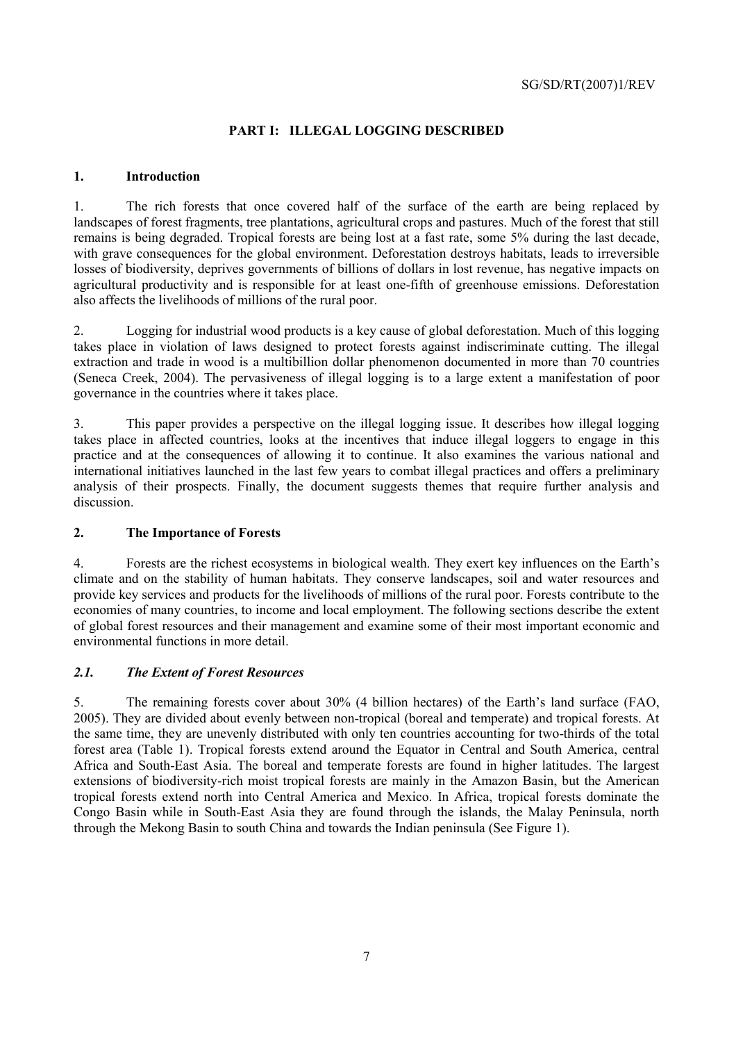# **PART I: ILLEGAL LOGGING DESCRIBED**

# **1. Introduction**

1. The rich forests that once covered half of the surface of the earth are being replaced by landscapes of forest fragments, tree plantations, agricultural crops and pastures. Much of the forest that still remains is being degraded. Tropical forests are being lost at a fast rate, some 5% during the last decade, with grave consequences for the global environment. Deforestation destroys habitats, leads to irreversible losses of biodiversity, deprives governments of billions of dollars in lost revenue, has negative impacts on agricultural productivity and is responsible for at least one-fifth of greenhouse emissions. Deforestation also affects the livelihoods of millions of the rural poor.

2. Logging for industrial wood products is a key cause of global deforestation. Much of this logging takes place in violation of laws designed to protect forests against indiscriminate cutting. The illegal extraction and trade in wood is a multibillion dollar phenomenon documented in more than 70 countries (Seneca Creek, 2004). The pervasiveness of illegal logging is to a large extent a manifestation of poor governance in the countries where it takes place.

3. This paper provides a perspective on the illegal logging issue. It describes how illegal logging takes place in affected countries, looks at the incentives that induce illegal loggers to engage in this practice and at the consequences of allowing it to continue. It also examines the various national and international initiatives launched in the last few years to combat illegal practices and offers a preliminary analysis of their prospects. Finally, the document suggests themes that require further analysis and discussion.

## **2. The Importance of Forests**

4. Forests are the richest ecosystems in biological wealth. They exert key influences on the Earth's climate and on the stability of human habitats. They conserve landscapes, soil and water resources and provide key services and products for the livelihoods of millions of the rural poor. Forests contribute to the economies of many countries, to income and local employment. The following sections describe the extent of global forest resources and their management and examine some of their most important economic and environmental functions in more detail.

# *2.1. The Extent of Forest Resources*

5. The remaining forests cover about 30% (4 billion hectares) of the Earth's land surface (FAO, 2005). They are divided about evenly between non-tropical (boreal and temperate) and tropical forests. At the same time, they are unevenly distributed with only ten countries accounting for two-thirds of the total forest area (Table 1). Tropical forests extend around the Equator in Central and South America, central Africa and South-East Asia. The boreal and temperate forests are found in higher latitudes. The largest extensions of biodiversity-rich moist tropical forests are mainly in the Amazon Basin, but the American tropical forests extend north into Central America and Mexico. In Africa, tropical forests dominate the Congo Basin while in South-East Asia they are found through the islands, the Malay Peninsula, north through the Mekong Basin to south China and towards the Indian peninsula (See Figure 1).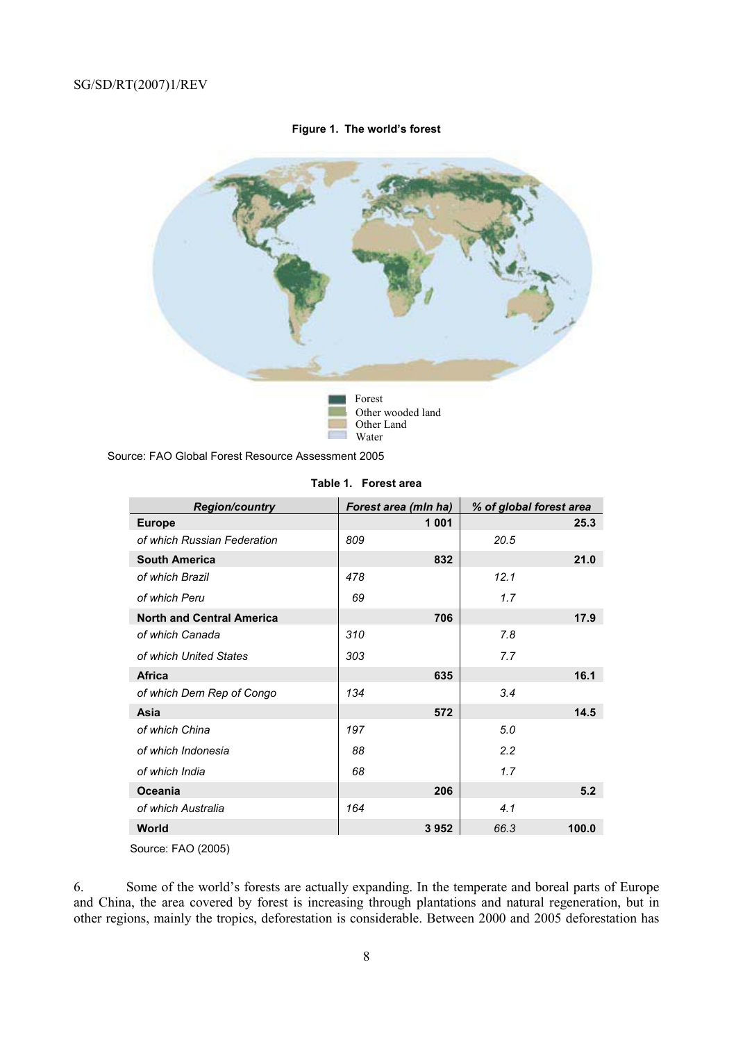#### **Figure 1. The world's forest**



Source: FAO Global Forest Resource Assessment 2005

| <b>Region/country</b>            |     | Forest area (mln ha) |      | % of global forest area |
|----------------------------------|-----|----------------------|------|-------------------------|
| <b>Europe</b>                    |     | 1 0 0 1              |      | 25.3                    |
| of which Russian Federation      | 809 |                      | 20.5 |                         |
| <b>South America</b>             |     | 832                  |      | 21.0                    |
| of which Brazil                  | 478 |                      | 12.1 |                         |
| of which Peru                    | 69  |                      | 1.7  |                         |
| <b>North and Central America</b> |     | 706                  |      | 17.9                    |
| of which Canada                  | 310 |                      | 7.8  |                         |
| of which United States           | 303 |                      | 7.7  |                         |
| <b>Africa</b>                    |     | 635                  |      | 16.1                    |
| of which Dem Rep of Congo        | 134 |                      | 3.4  |                         |
| Asia                             |     | 572                  |      | 14.5                    |
| of which China                   | 197 |                      | 5.0  |                         |
| of which Indonesia               | 88  |                      | 2.2  |                         |
| of which India                   | 68  |                      | 1.7  |                         |
| <b>Oceania</b>                   |     | 206                  |      | 5.2                     |
| of which Australia               | 164 |                      | 4.1  |                         |
| World                            |     | 3952                 | 66.3 | 100.0                   |

#### **Table 1. Forest area**

Source: FAO (2005)

6. Some of the world's forests are actually expanding. In the temperate and boreal parts of Europe and China, the area covered by forest is increasing through plantations and natural regeneration, but in other regions, mainly the tropics, deforestation is considerable. Between 2000 and 2005 deforestation has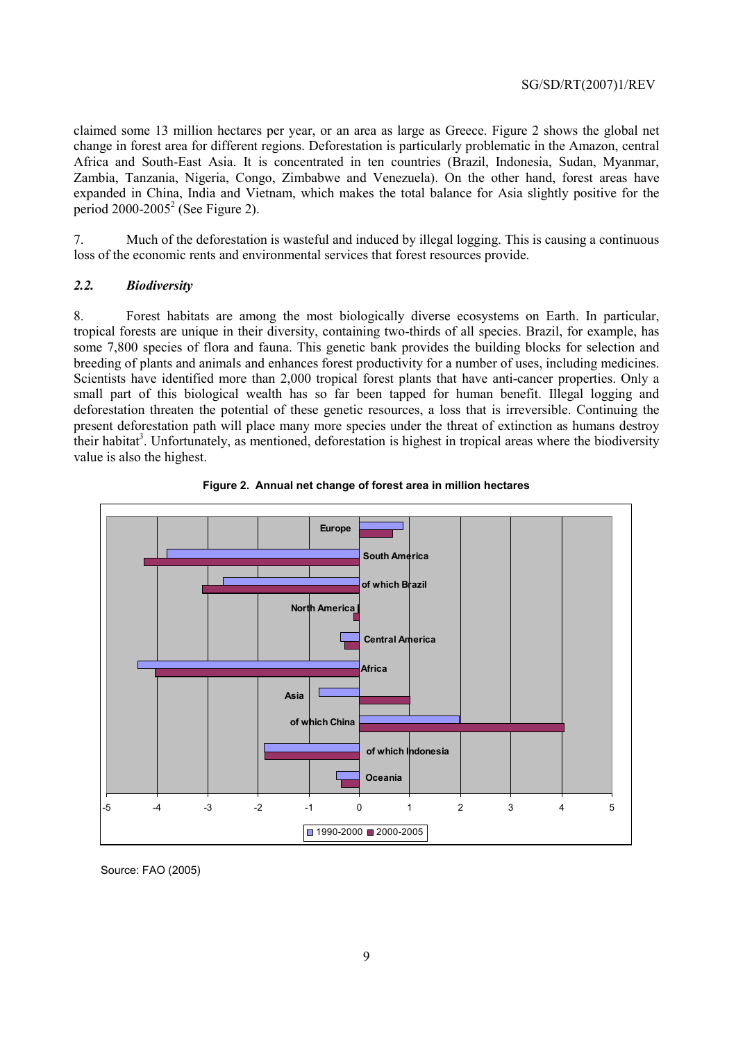claimed some 13 million hectares per year, or an area as large as Greece. Figure 2 shows the global net change in forest area for different regions. Deforestation is particularly problematic in the Amazon, central Africa and South-East Asia. It is concentrated in ten countries (Brazil, Indonesia, Sudan, Myanmar, Zambia, Tanzania, Nigeria, Congo, Zimbabwe and Venezuela). On the other hand, forest areas have expanded in China, India and Vietnam, which makes the total balance for Asia slightly positive for the period  $2000-2005^2$  (See Figure 2).

7. Much of the deforestation is wasteful and induced by illegal logging. This is causing a continuous loss of the economic rents and environmental services that forest resources provide.

#### *2.2. Biodiversity*

8. Forest habitats are among the most biologically diverse ecosystems on Earth. In particular, tropical forests are unique in their diversity, containing two-thirds of all species. Brazil, for example, has some 7,800 species of flora and fauna. This genetic bank provides the building blocks for selection and breeding of plants and animals and enhances forest productivity for a number of uses, including medicines. Scientists have identified more than 2,000 tropical forest plants that have anti-cancer properties. Only a small part of this biological wealth has so far been tapped for human benefit. Illegal logging and deforestation threaten the potential of these genetic resources, a loss that is irreversible. Continuing the present deforestation path will place many more species under the threat of extinction as humans destroy their habitat<sup>3</sup>. Unfortunately, as mentioned, deforestation is highest in tropical areas where the biodiversity value is also the highest.





Source: FAO (2005)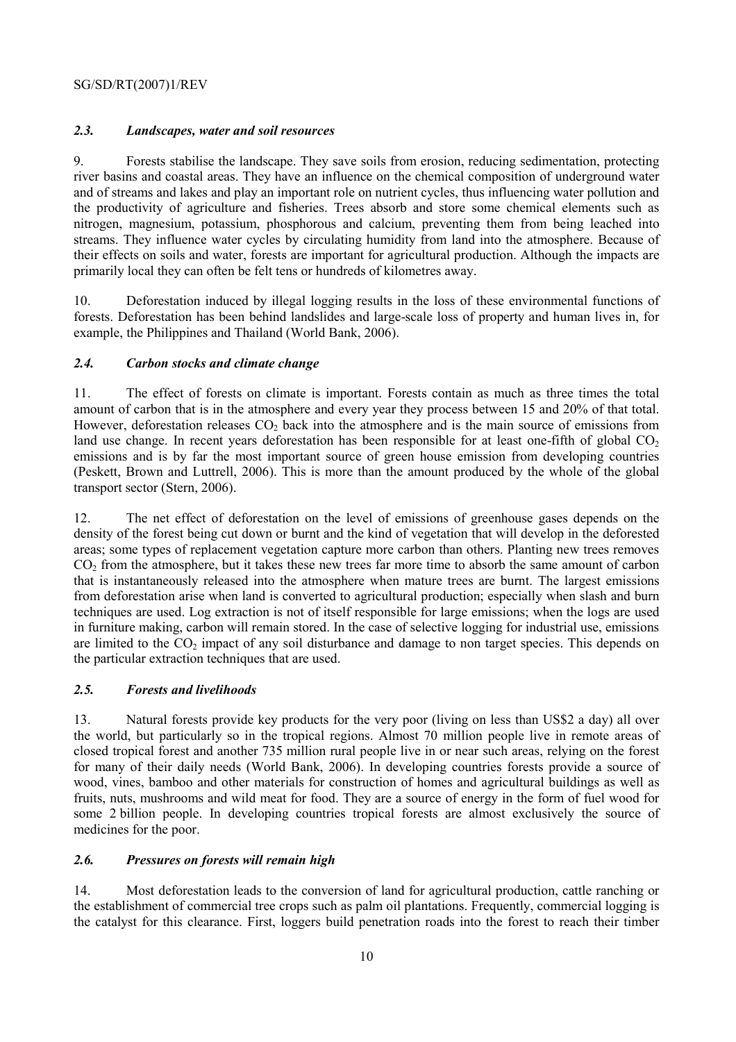# *2.3. Landscapes, water and soil resources*

9. Forests stabilise the landscape. They save soils from erosion, reducing sedimentation, protecting river basins and coastal areas. They have an influence on the chemical composition of underground water and of streams and lakes and play an important role on nutrient cycles, thus influencing water pollution and the productivity of agriculture and fisheries. Trees absorb and store some chemical elements such as nitrogen, magnesium, potassium, phosphorous and calcium, preventing them from being leached into streams. They influence water cycles by circulating humidity from land into the atmosphere. Because of their effects on soils and water, forests are important for agricultural production. Although the impacts are primarily local they can often be felt tens or hundreds of kilometres away.

10. Deforestation induced by illegal logging results in the loss of these environmental functions of forests. Deforestation has been behind landslides and large-scale loss of property and human lives in, for example, the Philippines and Thailand (World Bank, 2006).

## *2.4. Carbon stocks and climate change*

11. The effect of forests on climate is important. Forests contain as much as three times the total amount of carbon that is in the atmosphere and every year they process between 15 and 20% of that total. However, deforestation releases  $CO<sub>2</sub>$  back into the atmosphere and is the main source of emissions from land use change. In recent years deforestation has been responsible for at least one-fifth of global  $CO<sub>2</sub>$ emissions and is by far the most important source of green house emission from developing countries (Peskett, Brown and Luttrell, 2006). This is more than the amount produced by the whole of the global transport sector (Stern, 2006).

12. The net effect of deforestation on the level of emissions of greenhouse gases depends on the density of the forest being cut down or burnt and the kind of vegetation that will develop in the deforested areas; some types of replacement vegetation capture more carbon than others. Planting new trees removes CO<sub>2</sub> from the atmosphere, but it takes these new trees far more time to absorb the same amount of carbon that is instantaneously released into the atmosphere when mature trees are burnt. The largest emissions from deforestation arise when land is converted to agricultural production; especially when slash and burn techniques are used. Log extraction is not of itself responsible for large emissions; when the logs are used in furniture making, carbon will remain stored. In the case of selective logging for industrial use, emissions are limited to the  $CO<sub>2</sub>$  impact of any soil disturbance and damage to non target species. This depends on the particular extraction techniques that are used.

## *2.5. Forests and livelihoods*

13. Natural forests provide key products for the very poor (living on less than US\$2 a day) all over the world, but particularly so in the tropical regions. Almost 70 million people live in remote areas of closed tropical forest and another 735 million rural people live in or near such areas, relying on the forest for many of their daily needs (World Bank, 2006). In developing countries forests provide a source of wood, vines, bamboo and other materials for construction of homes and agricultural buildings as well as fruits, nuts, mushrooms and wild meat for food. They are a source of energy in the form of fuel wood for some 2 billion people. In developing countries tropical forests are almost exclusively the source of medicines for the poor.

# *2.6. Pressures on forests will remain high*

14. Most deforestation leads to the conversion of land for agricultural production, cattle ranching or the establishment of commercial tree crops such as palm oil plantations. Frequently, commercial logging is the catalyst for this clearance. First, loggers build penetration roads into the forest to reach their timber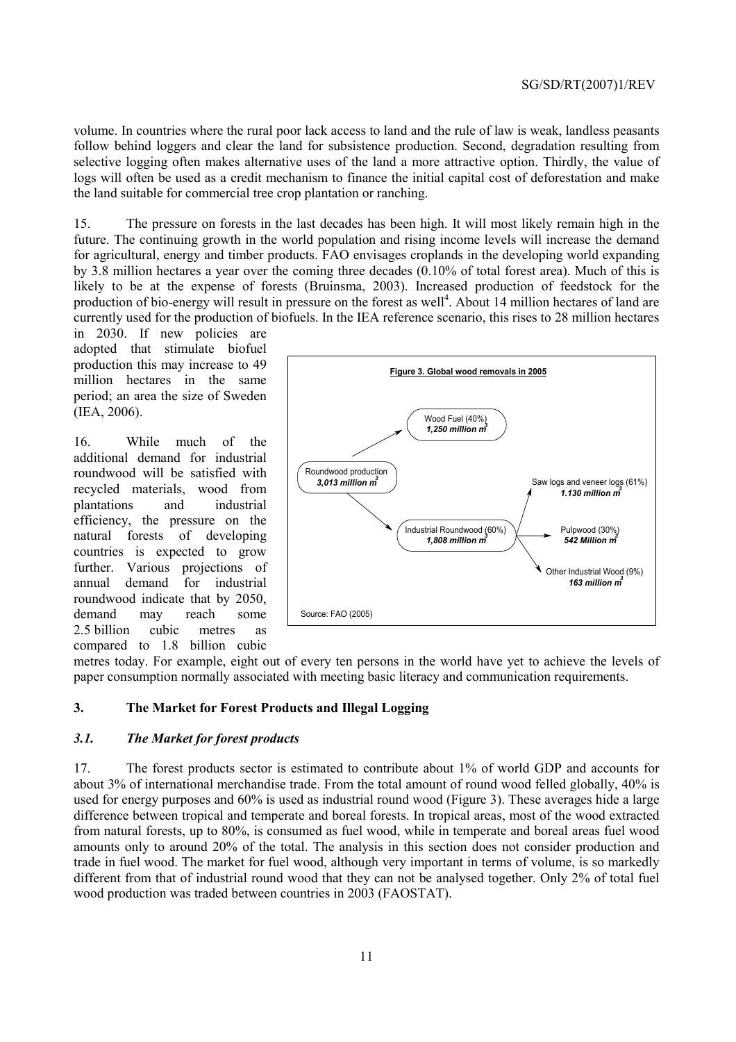volume. In countries where the rural poor lack access to land and the rule of law is weak, landless peasants follow behind loggers and clear the land for subsistence production. Second, degradation resulting from selective logging often makes alternative uses of the land a more attractive option. Thirdly, the value of logs will often be used as a credit mechanism to finance the initial capital cost of deforestation and make the land suitable for commercial tree crop plantation or ranching.

15. The pressure on forests in the last decades has been high. It will most likely remain high in the future. The continuing growth in the world population and rising income levels will increase the demand for agricultural, energy and timber products. FAO envisages croplands in the developing world expanding by 3.8 million hectares a year over the coming three decades (0.10% of total forest area). Much of this is likely to be at the expense of forests (Bruinsma, 2003). Increased production of feedstock for the production of bio-energy will result in pressure on the forest as well<sup>4</sup>. About 14 million hectares of land are currently used for the production of biofuels. In the IEA reference scenario, this rises to 28 million hectares

in 2030. If new policies are adopted that stimulate biofuel production this may increase to 49 million hectares in the same period; an area the size of Sweden (IEA, 2006).

16. While much of the additional demand for industrial roundwood will be satisfied with recycled materials, wood from plantations and industrial efficiency, the pressure on the natural forests of developing countries is expected to grow further. Various projections of annual demand for industrial roundwood indicate that by 2050, demand may reach some 2.5 billion cubic metres as compared to 1.8 billion cubic



metres today. For example, eight out of every ten persons in the world have yet to achieve the levels of paper consumption normally associated with meeting basic literacy and communication requirements.

#### **3. The Market for Forest Products and Illegal Logging**

#### *3.1. The Market for forest products*

17. The forest products sector is estimated to contribute about 1% of world GDP and accounts for about 3% of international merchandise trade. From the total amount of round wood felled globally, 40% is used for energy purposes and 60% is used as industrial round wood (Figure 3). These averages hide a large difference between tropical and temperate and boreal forests. In tropical areas, most of the wood extracted from natural forests, up to 80%, is consumed as fuel wood, while in temperate and boreal areas fuel wood amounts only to around 20% of the total. The analysis in this section does not consider production and trade in fuel wood. The market for fuel wood, although very important in terms of volume, is so markedly different from that of industrial round wood that they can not be analysed together. Only 2% of total fuel wood production was traded between countries in 2003 (FAOSTAT).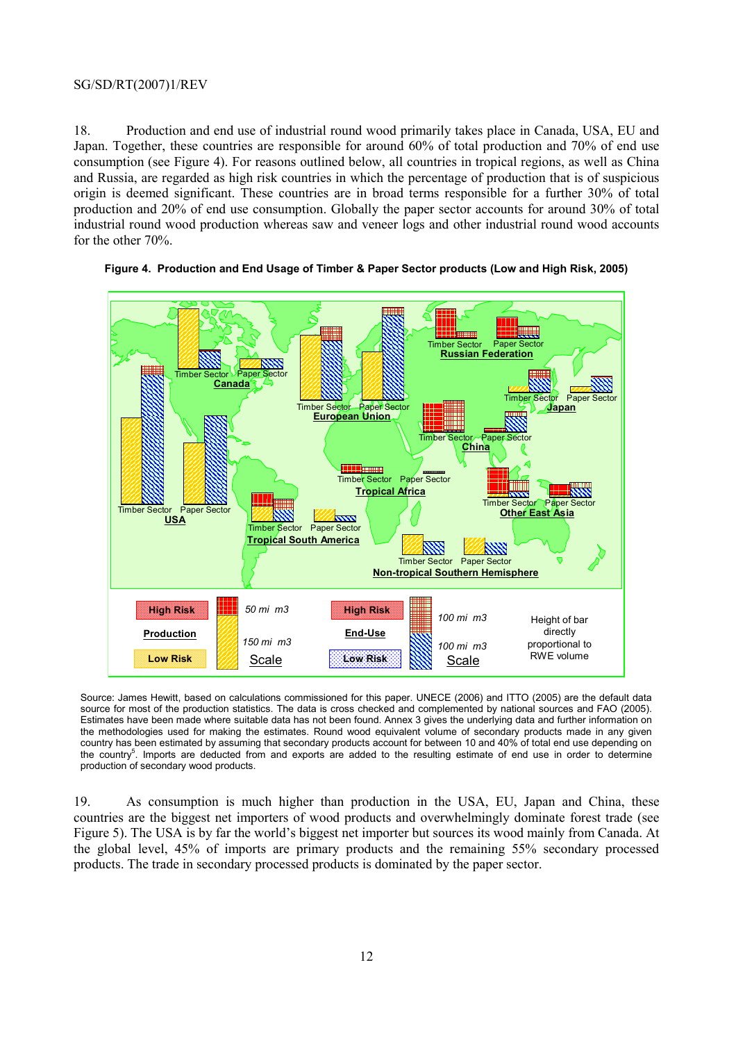18. Production and end use of industrial round wood primarily takes place in Canada, USA, EU and Japan. Together, these countries are responsible for around 60% of total production and 70% of end use consumption (see Figure 4). For reasons outlined below, all countries in tropical regions, as well as China and Russia, are regarded as high risk countries in which the percentage of production that is of suspicious origin is deemed significant. These countries are in broad terms responsible for a further 30% of total production and 20% of end use consumption. Globally the paper sector accounts for around 30% of total industrial round wood production whereas saw and veneer logs and other industrial round wood accounts for the other 70%.



#### **Figure 4. Production and End Usage of Timber & Paper Sector products (Low and High Risk, 2005)**

Source: James Hewitt, based on calculations commissioned for this paper. UNECE (2006) and ITTO (2005) are the default data source for most of the production statistics. The data is cross checked and complemented by national sources and FAO (2005). Estimates have been made where suitable data has not been found. Annex 3 gives the underlying data and further information on the methodologies used for making the estimates. Round wood equivalent volume of secondary products made in any given country has been estimated by assuming that secondary products account for between 10 and 40% of total end use depending on the country<sup>5</sup>. Imports are deducted from and exports are added to the resulting estimate of end use in order to determine production of secondary wood products.

19. As consumption is much higher than production in the USA, EU, Japan and China, these countries are the biggest net importers of wood products and overwhelmingly dominate forest trade (see Figure 5). The USA is by far the world's biggest net importer but sources its wood mainly from Canada. At the global level, 45% of imports are primary products and the remaining 55% secondary processed products. The trade in secondary processed products is dominated by the paper sector.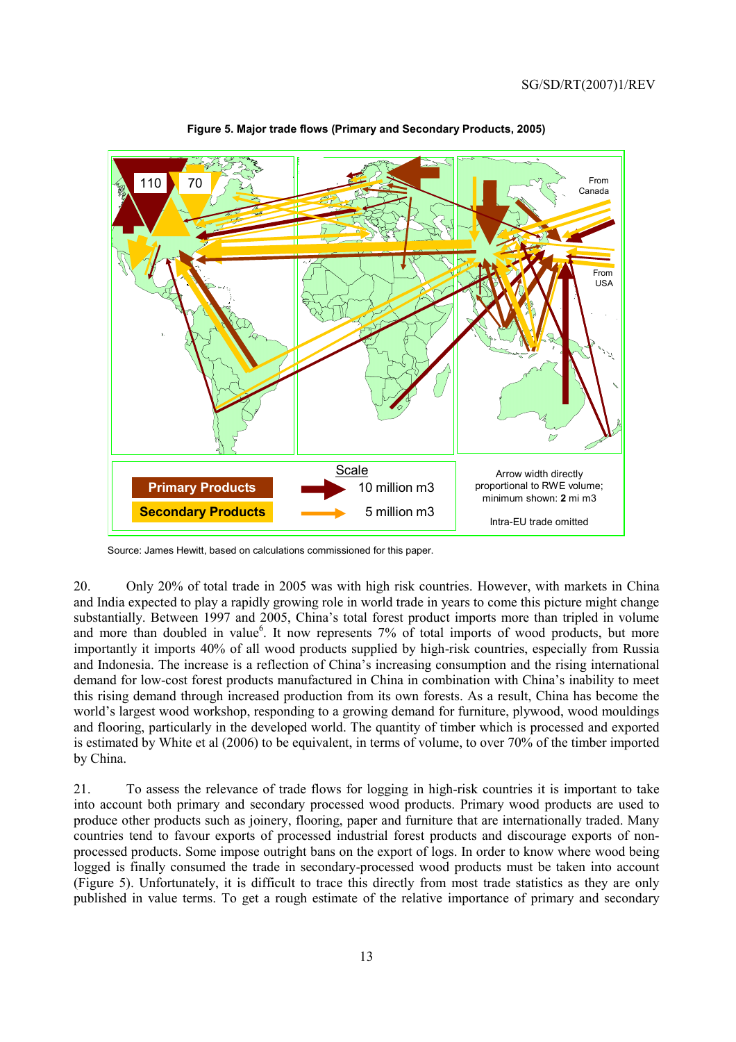

**Figure 5. Major trade flows (Primary and Secondary Products, 2005)** 

Source: James Hewitt, based on calculations commissioned for this paper.

20. Only 20% of total trade in 2005 was with high risk countries. However, with markets in China and India expected to play a rapidly growing role in world trade in years to come this picture might change substantially. Between 1997 and 2005, China's total forest product imports more than tripled in volume and more than doubled in value<sup>6</sup>. It now represents 7% of total imports of wood products, but more importantly it imports 40% of all wood products supplied by high-risk countries, especially from Russia and Indonesia. The increase is a reflection of China's increasing consumption and the rising international demand for low-cost forest products manufactured in China in combination with China's inability to meet this rising demand through increased production from its own forests. As a result, China has become the world's largest wood workshop, responding to a growing demand for furniture, plywood, wood mouldings and flooring, particularly in the developed world. The quantity of timber which is processed and exported is estimated by White et al (2006) to be equivalent, in terms of volume, to over 70% of the timber imported by China.

21. To assess the relevance of trade flows for logging in high-risk countries it is important to take into account both primary and secondary processed wood products. Primary wood products are used to produce other products such as joinery, flooring, paper and furniture that are internationally traded. Many countries tend to favour exports of processed industrial forest products and discourage exports of nonprocessed products. Some impose outright bans on the export of logs. In order to know where wood being logged is finally consumed the trade in secondary-processed wood products must be taken into account (Figure 5). Unfortunately, it is difficult to trace this directly from most trade statistics as they are only published in value terms. To get a rough estimate of the relative importance of primary and secondary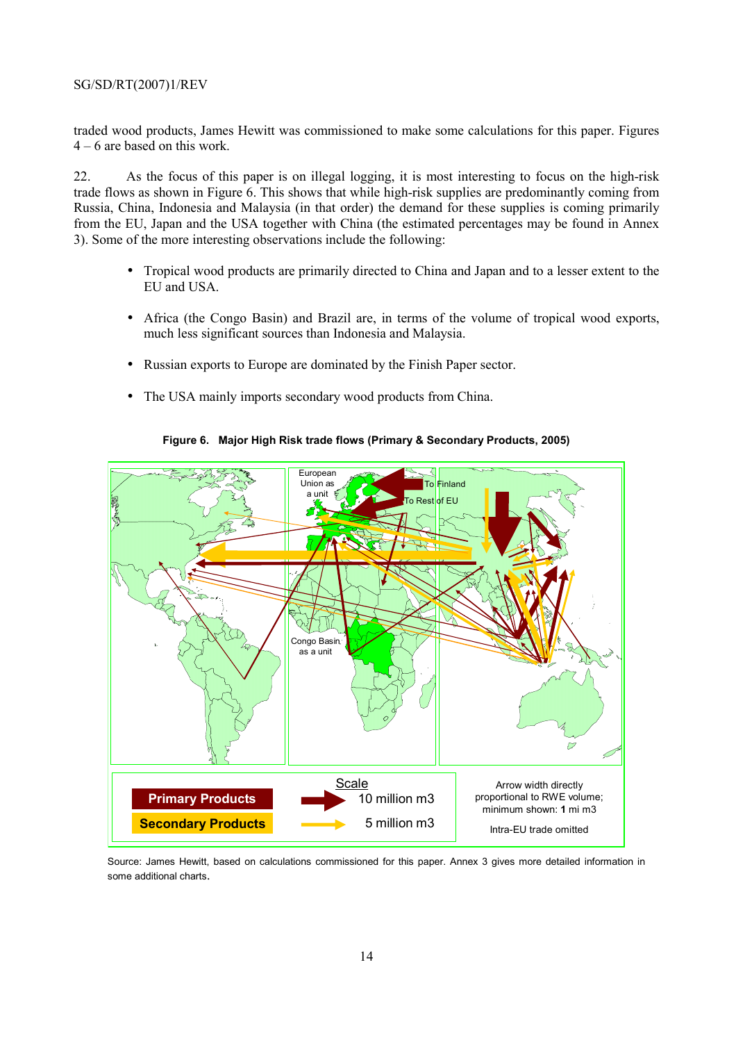traded wood products, James Hewitt was commissioned to make some calculations for this paper. Figures  $4 - 6$  are based on this work.

22. As the focus of this paper is on illegal logging, it is most interesting to focus on the high-risk trade flows as shown in Figure 6. This shows that while high-risk supplies are predominantly coming from Russia, China, Indonesia and Malaysia (in that order) the demand for these supplies is coming primarily from the EU, Japan and the USA together with China (the estimated percentages may be found in Annex 3). Some of the more interesting observations include the following:

- Tropical wood products are primarily directed to China and Japan and to a lesser extent to the EU and USA.
- Africa (the Congo Basin) and Brazil are, in terms of the volume of tropical wood exports, much less significant sources than Indonesia and Malaysia.
- Russian exports to Europe are dominated by the Finish Paper sector.
- The USA mainly imports secondary wood products from China.



#### **Figure 6. Major High Risk trade flows (Primary & Secondary Products, 2005)**

Source: James Hewitt, based on calculations commissioned for this paper. Annex 3 gives more detailed information in some additional charts.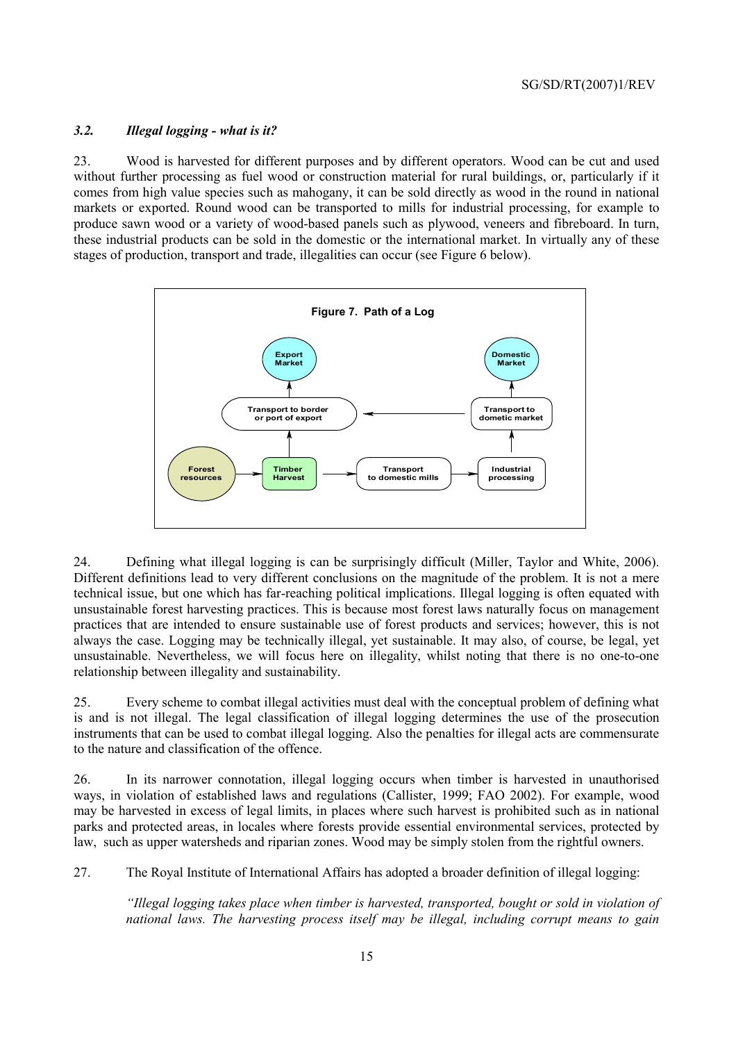#### *3.2. Illegal logging - what is it?*

23. Wood is harvested for different purposes and by different operators. Wood can be cut and used without further processing as fuel wood or construction material for rural buildings, or, particularly if it comes from high value species such as mahogany, it can be sold directly as wood in the round in national markets or exported. Round wood can be transported to mills for industrial processing, for example to produce sawn wood or a variety of wood-based panels such as plywood, veneers and fibreboard. In turn, these industrial products can be sold in the domestic or the international market. In virtually any of these stages of production, transport and trade, illegalities can occur (see Figure 6 below).



24. Defining what illegal logging is can be surprisingly difficult (Miller, Taylor and White, 2006). Different definitions lead to very different conclusions on the magnitude of the problem. It is not a mere technical issue, but one which has far-reaching political implications. Illegal logging is often equated with unsustainable forest harvesting practices. This is because most forest laws naturally focus on management practices that are intended to ensure sustainable use of forest products and services; however, this is not always the case. Logging may be technically illegal, yet sustainable. It may also, of course, be legal, yet unsustainable. Nevertheless, we will focus here on illegality, whilst noting that there is no one-to-one relationship between illegality and sustainability.

25. Every scheme to combat illegal activities must deal with the conceptual problem of defining what is and is not illegal. The legal classification of illegal logging determines the use of the prosecution instruments that can be used to combat illegal logging. Also the penalties for illegal acts are commensurate to the nature and classification of the offence.

26. In its narrower connotation, illegal logging occurs when timber is harvested in unauthorised ways, in violation of established laws and regulations (Callister, 1999; FAO 2002). For example, wood may be harvested in excess of legal limits, in places where such harvest is prohibited such as in national parks and protected areas, in locales where forests provide essential environmental services, protected by law, such as upper watersheds and riparian zones. Wood may be simply stolen from the rightful owners.

27. The Royal Institute of International Affairs has adopted a broader definition of illegal logging:

*"Illegal logging takes place when timber is harvested, transported, bought or sold in violation of national laws. The harvesting process itself may be illegal, including corrupt means to gain*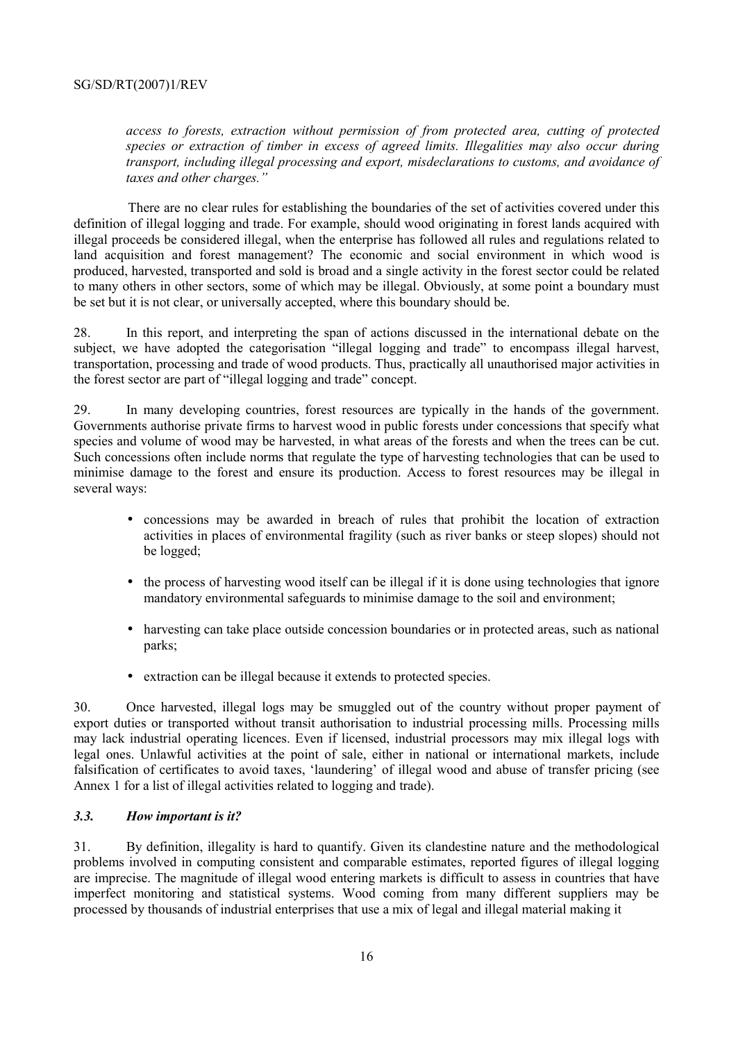*access to forests, extraction without permission of from protected area, cutting of protected species or extraction of timber in excess of agreed limits. Illegalities may also occur during transport, including illegal processing and export, misdeclarations to customs, and avoidance of taxes and other charges."* 

There are no clear rules for establishing the boundaries of the set of activities covered under this definition of illegal logging and trade. For example, should wood originating in forest lands acquired with illegal proceeds be considered illegal, when the enterprise has followed all rules and regulations related to land acquisition and forest management? The economic and social environment in which wood is produced, harvested, transported and sold is broad and a single activity in the forest sector could be related to many others in other sectors, some of which may be illegal. Obviously, at some point a boundary must be set but it is not clear, or universally accepted, where this boundary should be.

28. In this report, and interpreting the span of actions discussed in the international debate on the subject, we have adopted the categorisation "illegal logging and trade" to encompass illegal harvest, transportation, processing and trade of wood products. Thus, practically all unauthorised major activities in the forest sector are part of "illegal logging and trade" concept.

29. In many developing countries, forest resources are typically in the hands of the government. Governments authorise private firms to harvest wood in public forests under concessions that specify what species and volume of wood may be harvested, in what areas of the forests and when the trees can be cut. Such concessions often include norms that regulate the type of harvesting technologies that can be used to minimise damage to the forest and ensure its production. Access to forest resources may be illegal in several ways:

- concessions may be awarded in breach of rules that prohibit the location of extraction activities in places of environmental fragility (such as river banks or steep slopes) should not be logged;
- the process of harvesting wood itself can be illegal if it is done using technologies that ignore mandatory environmental safeguards to minimise damage to the soil and environment;
- harvesting can take place outside concession boundaries or in protected areas, such as national parks;
- extraction can be illegal because it extends to protected species.

30. Once harvested, illegal logs may be smuggled out of the country without proper payment of export duties or transported without transit authorisation to industrial processing mills. Processing mills may lack industrial operating licences. Even if licensed, industrial processors may mix illegal logs with legal ones. Unlawful activities at the point of sale, either in national or international markets, include falsification of certificates to avoid taxes, 'laundering' of illegal wood and abuse of transfer pricing (see Annex 1 for a list of illegal activities related to logging and trade).

## *3.3. How important is it?*

31. By definition, illegality is hard to quantify. Given its clandestine nature and the methodological problems involved in computing consistent and comparable estimates, reported figures of illegal logging are imprecise. The magnitude of illegal wood entering markets is difficult to assess in countries that have imperfect monitoring and statistical systems. Wood coming from many different suppliers may be processed by thousands of industrial enterprises that use a mix of legal and illegal material making it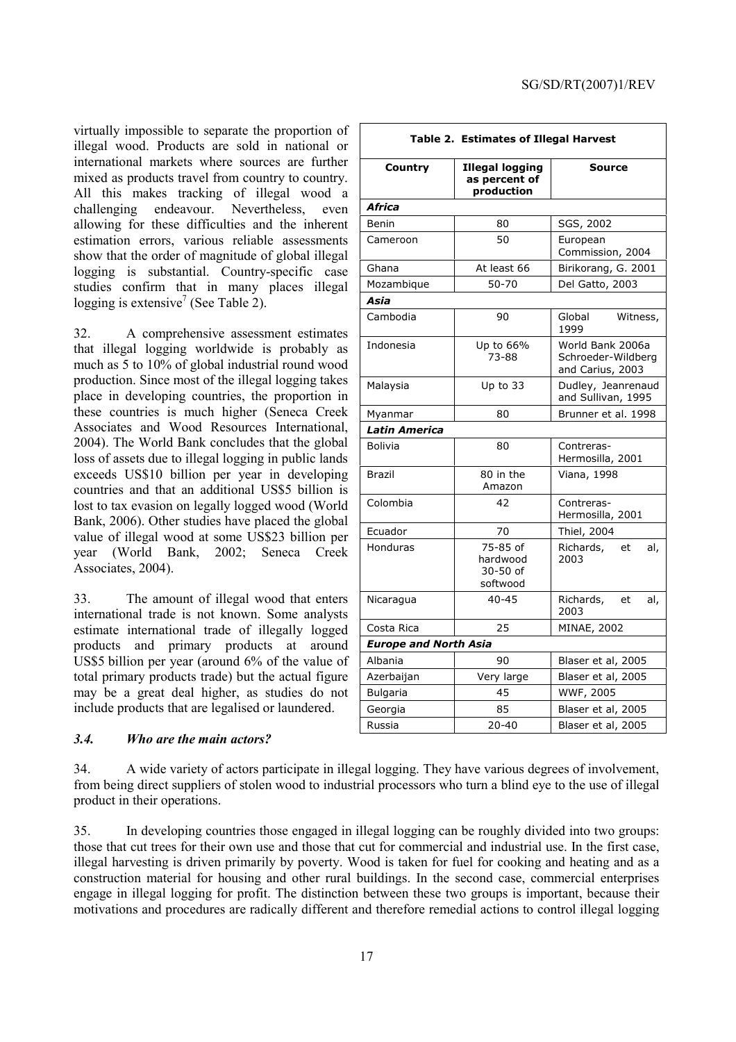virtually impossible to separate the proportion of illegal wood. Products are sold in national or international markets where sources are further mixed as products travel from country to country. All this makes tracking of illegal wood a challenging endeavour. Nevertheless, even allowing for these difficulties and the inherent estimation errors, various reliable assessments show that the order of magnitude of global illegal logging is substantial. Country-specific case studies confirm that in many places illegal logging is extensive<sup>7</sup> (See Table 2).

32. A comprehensive assessment estimates that illegal logging worldwide is probably as much as 5 to 10% of global industrial round wood production. Since most of the illegal logging takes place in developing countries, the proportion in these countries is much higher (Seneca Creek Associates and Wood Resources International, 2004). The World Bank concludes that the global loss of assets due to illegal logging in public lands exceeds US\$10 billion per year in developing countries and that an additional US\$5 billion is lost to tax evasion on legally logged wood (World Bank, 2006). Other studies have placed the global value of illegal wood at some US\$23 billion per year (World Bank, 2002; Seneca Creek Associates, 2004).

33. The amount of illegal wood that enters international trade is not known. Some analysts estimate international trade of illegally logged products and primary products at around US\$5 billion per year (around 6% of the value of total primary products trade) but the actual figure may be a great deal higher, as studies do not include products that are legalised or laundered.

## *3.4. Who are the main actors?*

| Table 2. Estimates of Illegal Harvest |                                                       |                                                            |  |  |  |  |  |
|---------------------------------------|-------------------------------------------------------|------------------------------------------------------------|--|--|--|--|--|
| Country                               | <b>Illegal logging</b><br>as percent of<br>production | Source                                                     |  |  |  |  |  |
| Africa                                |                                                       |                                                            |  |  |  |  |  |
| Benin                                 | 80                                                    | SGS, 2002                                                  |  |  |  |  |  |
| Cameroon                              | 50                                                    | European<br>Commission, 2004                               |  |  |  |  |  |
| Ghana                                 | At least 66                                           | Birikorang, G. 2001                                        |  |  |  |  |  |
| Mozambique                            | 50-70                                                 | Del Gatto, 2003                                            |  |  |  |  |  |
| Asia                                  |                                                       |                                                            |  |  |  |  |  |
| Cambodia                              | 90                                                    | Global<br>Witness,<br>1999                                 |  |  |  |  |  |
| Indonesia                             | Up to 66%<br>73-88                                    | World Bank 2006a<br>Schroeder-Wildberg<br>and Carius, 2003 |  |  |  |  |  |
| Malaysia                              | Up to 33                                              | Dudley, Jeanrenaud<br>and Sullivan, 1995                   |  |  |  |  |  |
| Myanmar                               | 80                                                    | Brunner et al. 1998                                        |  |  |  |  |  |
| <b>Latin America</b>                  |                                                       |                                                            |  |  |  |  |  |
| <b>Bolivia</b>                        | 80                                                    | Contreras-<br>Hermosilla, 2001                             |  |  |  |  |  |
| <b>Brazil</b>                         | 80 in the<br>Amazon                                   | Viana, 1998                                                |  |  |  |  |  |
| Colombia                              | 42                                                    | Contreras-<br>Hermosilla, 2001                             |  |  |  |  |  |
| Ecuador                               | 70                                                    | Thiel, 2004                                                |  |  |  |  |  |
| Honduras                              | 75-85 of<br>hardwood<br>$30 - 50$ of<br>softwood      | Richards,<br>et<br>al,<br>2003                             |  |  |  |  |  |
| Nicaragua                             | $40 - 45$                                             | Richards,<br>et<br>al,<br>2003                             |  |  |  |  |  |
| Costa Rica                            | 25                                                    | MINAE, 2002                                                |  |  |  |  |  |
| <b>Europe and North Asia</b>          |                                                       |                                                            |  |  |  |  |  |
| Albania                               | 90                                                    | Blaser et al, 2005                                         |  |  |  |  |  |
| Azerbaijan                            | Very large                                            | Blaser et al, 2005                                         |  |  |  |  |  |
| Bulgaria                              | 45                                                    | WWF, 2005                                                  |  |  |  |  |  |
| Georgia                               | 85                                                    | Blaser et al, 2005                                         |  |  |  |  |  |
| Russia                                | $20 - 40$                                             | Blaser et al, 2005                                         |  |  |  |  |  |

34. A wide variety of actors participate in illegal logging. They have various degrees of involvement, from being direct suppliers of stolen wood to industrial processors who turn a blind eye to the use of illegal product in their operations.

35. In developing countries those engaged in illegal logging can be roughly divided into two groups: those that cut trees for their own use and those that cut for commercial and industrial use. In the first case, illegal harvesting is driven primarily by poverty. Wood is taken for fuel for cooking and heating and as a construction material for housing and other rural buildings. In the second case, commercial enterprises engage in illegal logging for profit. The distinction between these two groups is important, because their motivations and procedures are radically different and therefore remedial actions to control illegal logging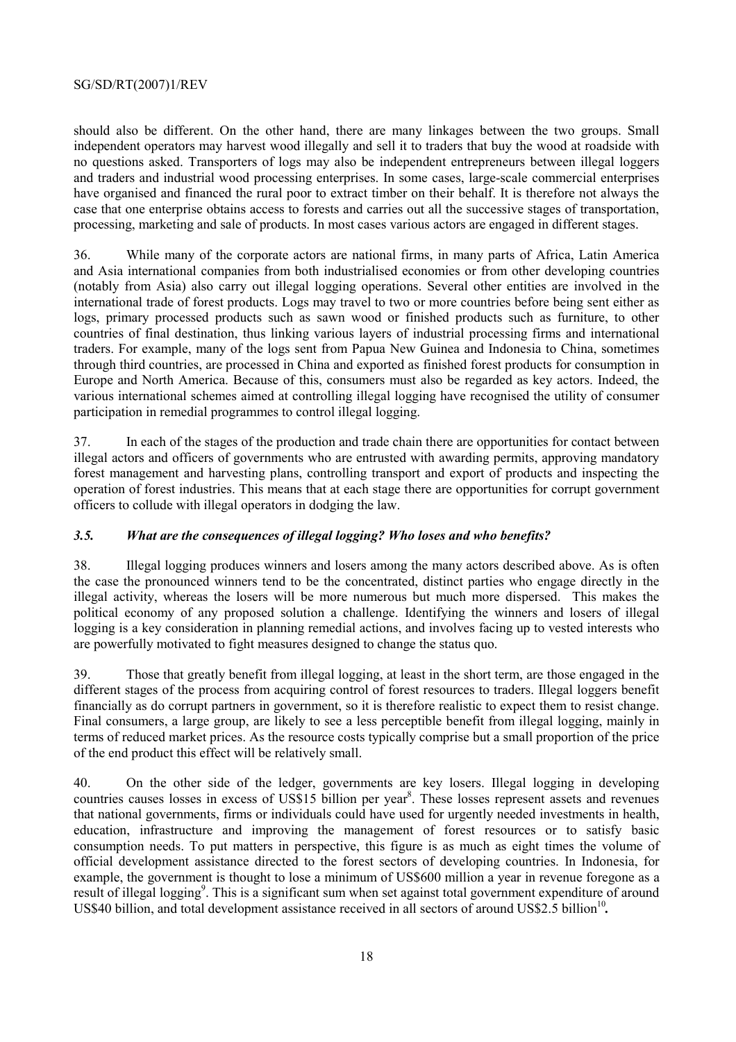should also be different. On the other hand, there are many linkages between the two groups. Small independent operators may harvest wood illegally and sell it to traders that buy the wood at roadside with no questions asked. Transporters of logs may also be independent entrepreneurs between illegal loggers and traders and industrial wood processing enterprises. In some cases, large-scale commercial enterprises have organised and financed the rural poor to extract timber on their behalf. It is therefore not always the case that one enterprise obtains access to forests and carries out all the successive stages of transportation, processing, marketing and sale of products. In most cases various actors are engaged in different stages.

36. While many of the corporate actors are national firms, in many parts of Africa, Latin America and Asia international companies from both industrialised economies or from other developing countries (notably from Asia) also carry out illegal logging operations. Several other entities are involved in the international trade of forest products. Logs may travel to two or more countries before being sent either as logs, primary processed products such as sawn wood or finished products such as furniture, to other countries of final destination, thus linking various layers of industrial processing firms and international traders. For example, many of the logs sent from Papua New Guinea and Indonesia to China, sometimes through third countries, are processed in China and exported as finished forest products for consumption in Europe and North America. Because of this, consumers must also be regarded as key actors. Indeed, the various international schemes aimed at controlling illegal logging have recognised the utility of consumer participation in remedial programmes to control illegal logging.

37. In each of the stages of the production and trade chain there are opportunities for contact between illegal actors and officers of governments who are entrusted with awarding permits, approving mandatory forest management and harvesting plans, controlling transport and export of products and inspecting the operation of forest industries. This means that at each stage there are opportunities for corrupt government officers to collude with illegal operators in dodging the law.

# *3.5. What are the consequences of illegal logging? Who loses and who benefits?*

38. Illegal logging produces winners and losers among the many actors described above. As is often the case the pronounced winners tend to be the concentrated, distinct parties who engage directly in the illegal activity, whereas the losers will be more numerous but much more dispersed. This makes the political economy of any proposed solution a challenge. Identifying the winners and losers of illegal logging is a key consideration in planning remedial actions, and involves facing up to vested interests who are powerfully motivated to fight measures designed to change the status quo.

39. Those that greatly benefit from illegal logging, at least in the short term, are those engaged in the different stages of the process from acquiring control of forest resources to traders. Illegal loggers benefit financially as do corrupt partners in government, so it is therefore realistic to expect them to resist change. Final consumers, a large group, are likely to see a less perceptible benefit from illegal logging, mainly in terms of reduced market prices. As the resource costs typically comprise but a small proportion of the price of the end product this effect will be relatively small.

40. On the other side of the ledger, governments are key losers. Illegal logging in developing countries causes losses in excess of US\$15 billion per year<sup>8</sup>. These losses represent assets and revenues that national governments, firms or individuals could have used for urgently needed investments in health, education, infrastructure and improving the management of forest resources or to satisfy basic consumption needs. To put matters in perspective, this figure is as much as eight times the volume of official development assistance directed to the forest sectors of developing countries. In Indonesia, for example, the government is thought to lose a minimum of US\$600 million a year in revenue foregone as a result of illegal logging<sup>9</sup>. This is a significant sum when set against total government expenditure of around US\$40 billion, and total development assistance received in all sectors of around US\$2.5 billion<sup>10</sup>.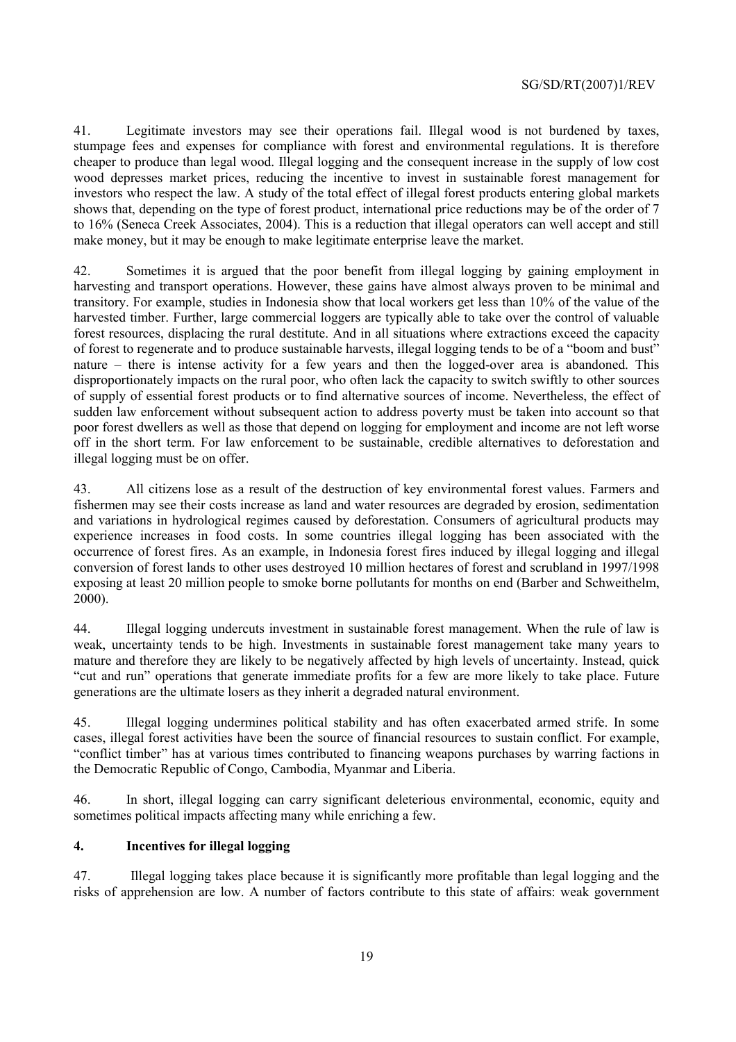41. Legitimate investors may see their operations fail. Illegal wood is not burdened by taxes, stumpage fees and expenses for compliance with forest and environmental regulations. It is therefore cheaper to produce than legal wood. Illegal logging and the consequent increase in the supply of low cost wood depresses market prices, reducing the incentive to invest in sustainable forest management for investors who respect the law. A study of the total effect of illegal forest products entering global markets shows that, depending on the type of forest product, international price reductions may be of the order of 7 to 16% (Seneca Creek Associates, 2004). This is a reduction that illegal operators can well accept and still make money, but it may be enough to make legitimate enterprise leave the market.

42. Sometimes it is argued that the poor benefit from illegal logging by gaining employment in harvesting and transport operations. However, these gains have almost always proven to be minimal and transitory. For example, studies in Indonesia show that local workers get less than 10% of the value of the harvested timber. Further, large commercial loggers are typically able to take over the control of valuable forest resources, displacing the rural destitute. And in all situations where extractions exceed the capacity of forest to regenerate and to produce sustainable harvests, illegal logging tends to be of a "boom and bust" nature – there is intense activity for a few years and then the logged-over area is abandoned. This disproportionately impacts on the rural poor, who often lack the capacity to switch swiftly to other sources of supply of essential forest products or to find alternative sources of income. Nevertheless, the effect of sudden law enforcement without subsequent action to address poverty must be taken into account so that poor forest dwellers as well as those that depend on logging for employment and income are not left worse off in the short term. For law enforcement to be sustainable, credible alternatives to deforestation and illegal logging must be on offer.

43. All citizens lose as a result of the destruction of key environmental forest values. Farmers and fishermen may see their costs increase as land and water resources are degraded by erosion, sedimentation and variations in hydrological regimes caused by deforestation. Consumers of agricultural products may experience increases in food costs. In some countries illegal logging has been associated with the occurrence of forest fires. As an example, in Indonesia forest fires induced by illegal logging and illegal conversion of forest lands to other uses destroyed 10 million hectares of forest and scrubland in 1997/1998 exposing at least 20 million people to smoke borne pollutants for months on end (Barber and Schweithelm, 2000).

44. Illegal logging undercuts investment in sustainable forest management. When the rule of law is weak, uncertainty tends to be high. Investments in sustainable forest management take many years to mature and therefore they are likely to be negatively affected by high levels of uncertainty. Instead, quick "cut and run" operations that generate immediate profits for a few are more likely to take place. Future generations are the ultimate losers as they inherit a degraded natural environment.

45. Illegal logging undermines political stability and has often exacerbated armed strife. In some cases, illegal forest activities have been the source of financial resources to sustain conflict. For example, "conflict timber" has at various times contributed to financing weapons purchases by warring factions in the Democratic Republic of Congo, Cambodia, Myanmar and Liberia.

46. In short, illegal logging can carry significant deleterious environmental, economic, equity and sometimes political impacts affecting many while enriching a few.

## **4. Incentives for illegal logging**

47. Illegal logging takes place because it is significantly more profitable than legal logging and the risks of apprehension are low. A number of factors contribute to this state of affairs: weak government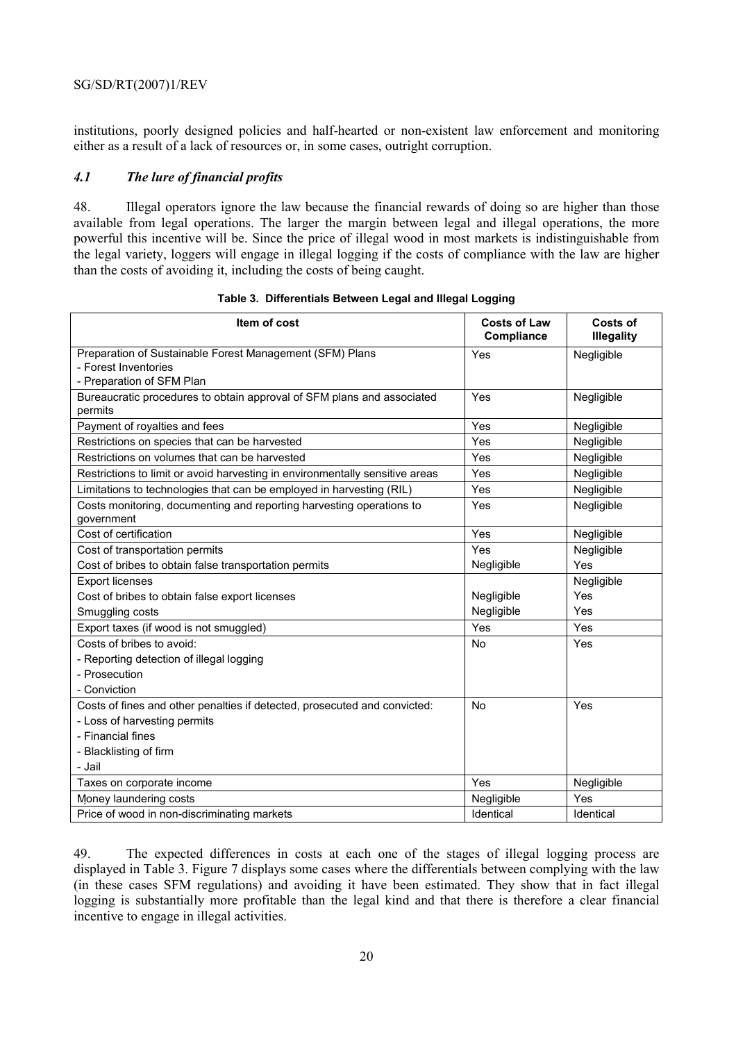institutions, poorly designed policies and half-hearted or non-existent law enforcement and monitoring either as a result of a lack of resources or, in some cases, outright corruption.

#### *4.1 The lure of financial profits*

48. Illegal operators ignore the law because the financial rewards of doing so are higher than those available from legal operations. The larger the margin between legal and illegal operations, the more powerful this incentive will be. Since the price of illegal wood in most markets is indistinguishable from the legal variety, loggers will engage in illegal logging if the costs of compliance with the law are higher than the costs of avoiding it, including the costs of being caught.

| Item of cost                                                                       | <b>Costs of Law</b><br>Compliance | Costs of<br><b>Illegality</b> |
|------------------------------------------------------------------------------------|-----------------------------------|-------------------------------|
| Preparation of Sustainable Forest Management (SFM) Plans                           | Yes                               | Negligible                    |
| - Forest Inventories                                                               |                                   |                               |
| - Preparation of SFM Plan                                                          |                                   |                               |
| Bureaucratic procedures to obtain approval of SFM plans and associated<br>permits  | Yes                               | Negligible                    |
| Payment of royalties and fees                                                      | Yes                               | Negligible                    |
| Restrictions on species that can be harvested                                      | Yes                               | Negligible                    |
| Restrictions on volumes that can be harvested                                      | Yes                               | Negligible                    |
| Restrictions to limit or avoid harvesting in environmentally sensitive areas       | Yes                               | Negligible                    |
| Limitations to technologies that can be employed in harvesting (RIL)               | Yes                               | Negligible                    |
| Costs monitoring, documenting and reporting harvesting operations to<br>government | Yes                               | Negligible                    |
| Cost of certification                                                              | Yes                               | Negligible                    |
| Cost of transportation permits                                                     | Yes                               | Negligible                    |
| Cost of bribes to obtain false transportation permits                              | Negligible                        | Yes                           |
| <b>Export licenses</b>                                                             |                                   | Negligible                    |
| Cost of bribes to obtain false export licenses                                     | Negligible                        | Yes                           |
| Smuggling costs                                                                    | Negligible                        | Yes                           |
| Export taxes (if wood is not smuggled)                                             | Yes                               | Yes                           |
| Costs of bribes to avoid:                                                          | <b>No</b>                         | Yes                           |
| - Reporting detection of illegal logging                                           |                                   |                               |
| - Prosecution                                                                      |                                   |                               |
| - Conviction                                                                       |                                   |                               |
| Costs of fines and other penalties if detected, prosecuted and convicted:          | <b>No</b>                         | Yes                           |
| - Loss of harvesting permits                                                       |                                   |                               |
| - Financial fines                                                                  |                                   |                               |
| - Blacklisting of firm                                                             |                                   |                               |
| - Jail                                                                             |                                   |                               |
| Taxes on corporate income                                                          | Yes                               | Negligible                    |
| Money laundering costs                                                             | Negligible                        | Yes                           |
| Price of wood in non-discriminating markets                                        | Identical                         | Identical                     |

**Table 3. Differentials Between Legal and Illegal Logging** 

49. The expected differences in costs at each one of the stages of illegal logging process are displayed in Table 3. Figure 7 displays some cases where the differentials between complying with the law (in these cases SFM regulations) and avoiding it have been estimated. They show that in fact illegal logging is substantially more profitable than the legal kind and that there is therefore a clear financial incentive to engage in illegal activities.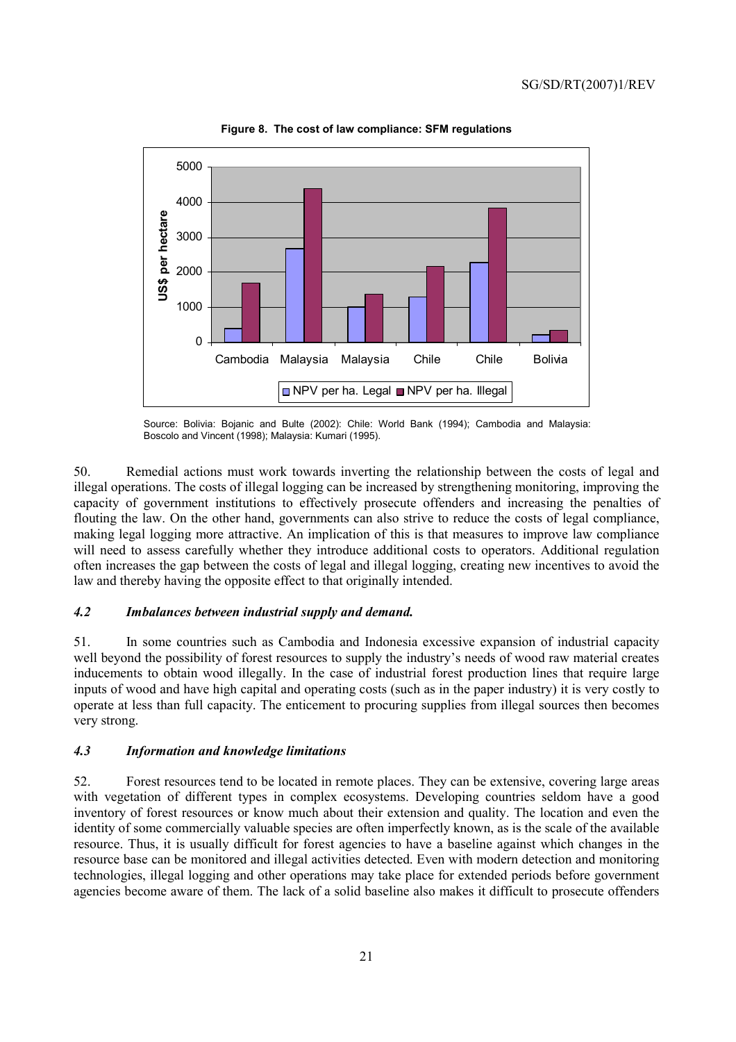

**Figure 8. The cost of law compliance: SFM regulations** 

Source: Bolivia: Bojanic and Bulte (2002): Chile: World Bank (1994); Cambodia and Malaysia: Boscolo and Vincent (1998); Malaysia: Kumari (1995).

50. Remedial actions must work towards inverting the relationship between the costs of legal and illegal operations. The costs of illegal logging can be increased by strengthening monitoring, improving the capacity of government institutions to effectively prosecute offenders and increasing the penalties of flouting the law. On the other hand, governments can also strive to reduce the costs of legal compliance, making legal logging more attractive. An implication of this is that measures to improve law compliance will need to assess carefully whether they introduce additional costs to operators. Additional regulation often increases the gap between the costs of legal and illegal logging, creating new incentives to avoid the law and thereby having the opposite effect to that originally intended.

## *4.2 Imbalances between industrial supply and demand.*

51. In some countries such as Cambodia and Indonesia excessive expansion of industrial capacity well beyond the possibility of forest resources to supply the industry's needs of wood raw material creates inducements to obtain wood illegally. In the case of industrial forest production lines that require large inputs of wood and have high capital and operating costs (such as in the paper industry) it is very costly to operate at less than full capacity. The enticement to procuring supplies from illegal sources then becomes very strong.

## *4.3 Information and knowledge limitations*

52. Forest resources tend to be located in remote places. They can be extensive, covering large areas with vegetation of different types in complex ecosystems. Developing countries seldom have a good inventory of forest resources or know much about their extension and quality. The location and even the identity of some commercially valuable species are often imperfectly known, as is the scale of the available resource. Thus, it is usually difficult for forest agencies to have a baseline against which changes in the resource base can be monitored and illegal activities detected. Even with modern detection and monitoring technologies, illegal logging and other operations may take place for extended periods before government agencies become aware of them. The lack of a solid baseline also makes it difficult to prosecute offenders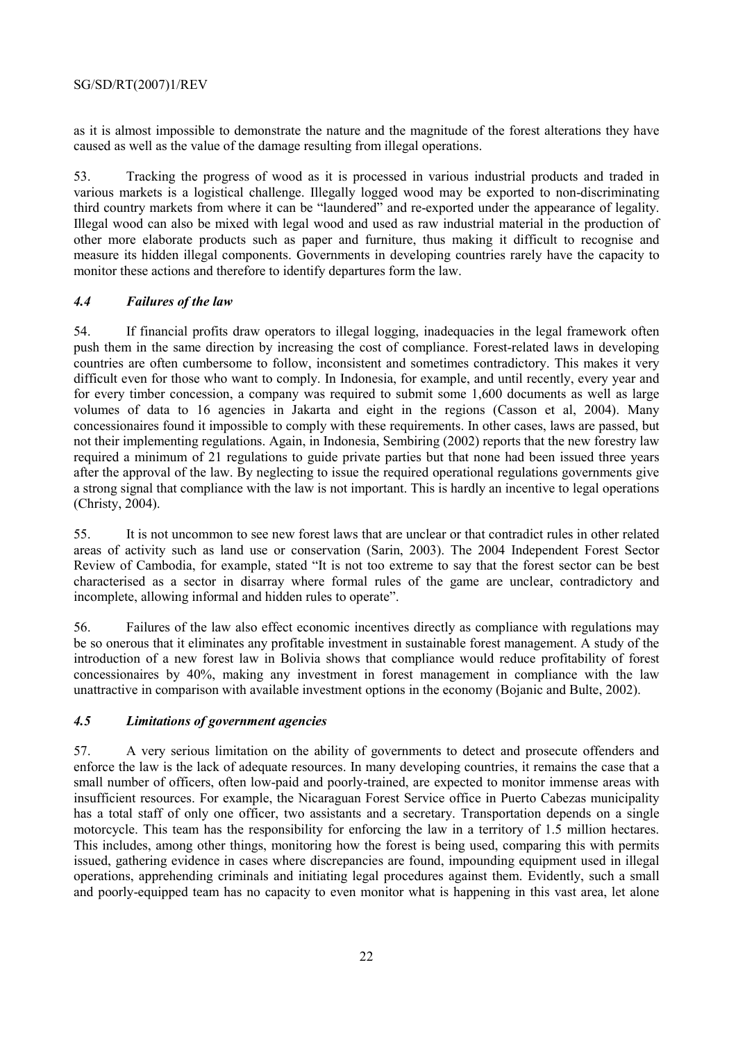as it is almost impossible to demonstrate the nature and the magnitude of the forest alterations they have caused as well as the value of the damage resulting from illegal operations.

53. Tracking the progress of wood as it is processed in various industrial products and traded in various markets is a logistical challenge. Illegally logged wood may be exported to non-discriminating third country markets from where it can be "laundered" and re-exported under the appearance of legality. Illegal wood can also be mixed with legal wood and used as raw industrial material in the production of other more elaborate products such as paper and furniture, thus making it difficult to recognise and measure its hidden illegal components. Governments in developing countries rarely have the capacity to monitor these actions and therefore to identify departures form the law.

## *4.4 Failures of the law*

54. If financial profits draw operators to illegal logging, inadequacies in the legal framework often push them in the same direction by increasing the cost of compliance. Forest-related laws in developing countries are often cumbersome to follow, inconsistent and sometimes contradictory. This makes it very difficult even for those who want to comply. In Indonesia, for example, and until recently, every year and for every timber concession, a company was required to submit some 1,600 documents as well as large volumes of data to 16 agencies in Jakarta and eight in the regions (Casson et al, 2004). Many concessionaires found it impossible to comply with these requirements. In other cases, laws are passed, but not their implementing regulations. Again, in Indonesia, Sembiring (2002) reports that the new forestry law required a minimum of 21 regulations to guide private parties but that none had been issued three years after the approval of the law. By neglecting to issue the required operational regulations governments give a strong signal that compliance with the law is not important. This is hardly an incentive to legal operations (Christy, 2004).

55. It is not uncommon to see new forest laws that are unclear or that contradict rules in other related areas of activity such as land use or conservation (Sarin, 2003). The 2004 Independent Forest Sector Review of Cambodia, for example, stated "It is not too extreme to say that the forest sector can be best characterised as a sector in disarray where formal rules of the game are unclear, contradictory and incomplete, allowing informal and hidden rules to operate".

56. Failures of the law also effect economic incentives directly as compliance with regulations may be so onerous that it eliminates any profitable investment in sustainable forest management. A study of the introduction of a new forest law in Bolivia shows that compliance would reduce profitability of forest concessionaires by 40%, making any investment in forest management in compliance with the law unattractive in comparison with available investment options in the economy (Bojanic and Bulte, 2002).

## *4.5 Limitations of government agencies*

57. A very serious limitation on the ability of governments to detect and prosecute offenders and enforce the law is the lack of adequate resources. In many developing countries, it remains the case that a small number of officers, often low-paid and poorly-trained, are expected to monitor immense areas with insufficient resources. For example, the Nicaraguan Forest Service office in Puerto Cabezas municipality has a total staff of only one officer, two assistants and a secretary. Transportation depends on a single motorcycle. This team has the responsibility for enforcing the law in a territory of 1.5 million hectares. This includes, among other things, monitoring how the forest is being used, comparing this with permits issued, gathering evidence in cases where discrepancies are found, impounding equipment used in illegal operations, apprehending criminals and initiating legal procedures against them. Evidently, such a small and poorly-equipped team has no capacity to even monitor what is happening in this vast area, let alone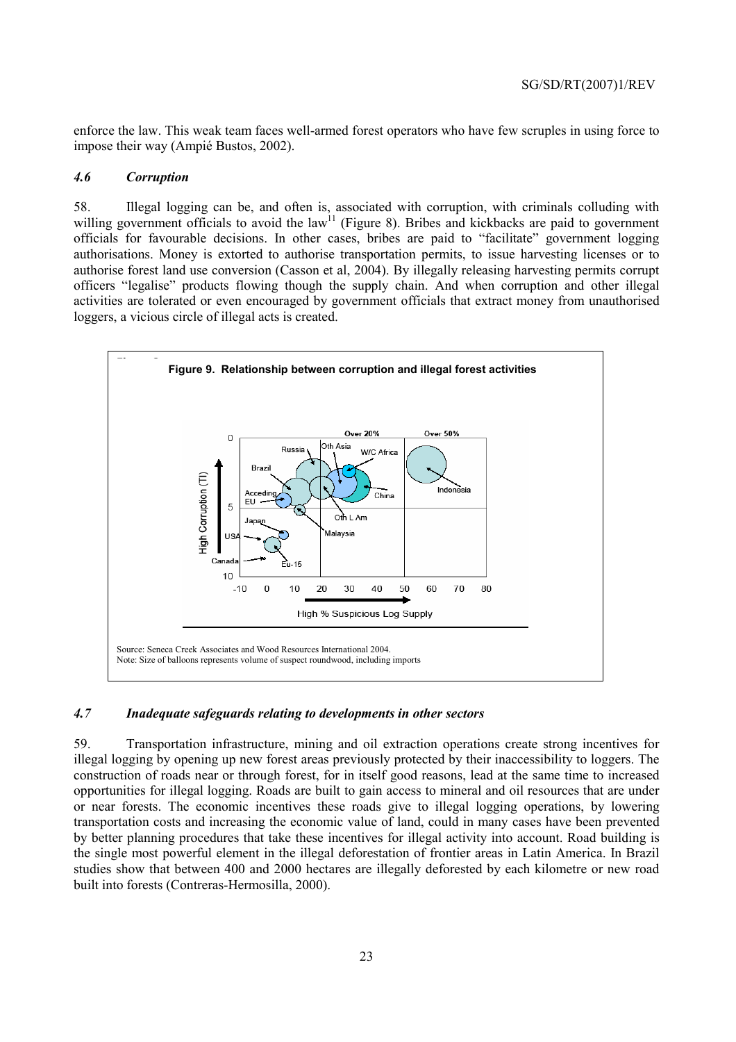enforce the law. This weak team faces well-armed forest operators who have few scruples in using force to impose their way (Ampié Bustos, 2002).

#### *4.6 Corruption*

58. Illegal logging can be, and often is, associated with corruption, with criminals colluding with willing government officials to avoid the law<sup>11</sup> (Figure 8). Bribes and kickbacks are paid to government officials for favourable decisions. In other cases, bribes are paid to "facilitate" government logging authorisations. Money is extorted to authorise transportation permits, to issue harvesting licenses or to authorise forest land use conversion (Casson et al, 2004). By illegally releasing harvesting permits corrupt officers "legalise" products flowing though the supply chain. And when corruption and other illegal activities are tolerated or even encouraged by government officials that extract money from unauthorised loggers, a vicious circle of illegal acts is created.



## *4.7 Inadequate safeguards relating to developments in other sectors*

59. Transportation infrastructure, mining and oil extraction operations create strong incentives for illegal logging by opening up new forest areas previously protected by their inaccessibility to loggers. The construction of roads near or through forest, for in itself good reasons, lead at the same time to increased opportunities for illegal logging. Roads are built to gain access to mineral and oil resources that are under or near forests. The economic incentives these roads give to illegal logging operations, by lowering transportation costs and increasing the economic value of land, could in many cases have been prevented by better planning procedures that take these incentives for illegal activity into account. Road building is the single most powerful element in the illegal deforestation of frontier areas in Latin America. In Brazil studies show that between 400 and 2000 hectares are illegally deforested by each kilometre or new road built into forests (Contreras-Hermosilla, 2000).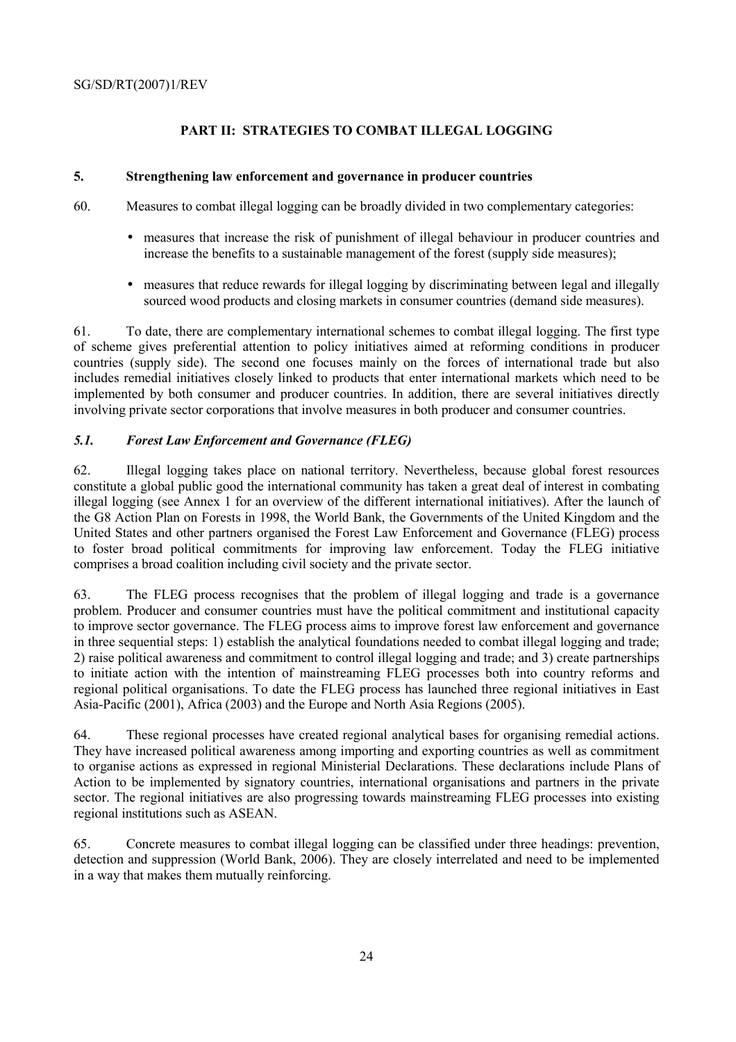# **PART II: STRATEGIES TO COMBAT ILLEGAL LOGGING**

## **5. Strengthening law enforcement and governance in producer countries**

60. Measures to combat illegal logging can be broadly divided in two complementary categories:

- measures that increase the risk of punishment of illegal behaviour in producer countries and increase the benefits to a sustainable management of the forest (supply side measures);
- measures that reduce rewards for illegal logging by discriminating between legal and illegally sourced wood products and closing markets in consumer countries (demand side measures).

61. To date, there are complementary international schemes to combat illegal logging. The first type of scheme gives preferential attention to policy initiatives aimed at reforming conditions in producer countries (supply side). The second one focuses mainly on the forces of international trade but also includes remedial initiatives closely linked to products that enter international markets which need to be implemented by both consumer and producer countries. In addition, there are several initiatives directly involving private sector corporations that involve measures in both producer and consumer countries.

## *5.1. Forest Law Enforcement and Governance (FLEG)*

62. Illegal logging takes place on national territory. Nevertheless, because global forest resources constitute a global public good the international community has taken a great deal of interest in combating illegal logging (see Annex 1 for an overview of the different international initiatives). After the launch of the G8 Action Plan on Forests in 1998, the World Bank, the Governments of the United Kingdom and the United States and other partners organised the Forest Law Enforcement and Governance (FLEG) process to foster broad political commitments for improving law enforcement. Today the FLEG initiative comprises a broad coalition including civil society and the private sector.

63. The FLEG process recognises that the problem of illegal logging and trade is a governance problem. Producer and consumer countries must have the political commitment and institutional capacity to improve sector governance. The FLEG process aims to improve forest law enforcement and governance in three sequential steps: 1) establish the analytical foundations needed to combat illegal logging and trade; 2) raise political awareness and commitment to control illegal logging and trade; and 3) create partnerships to initiate action with the intention of mainstreaming FLEG processes both into country reforms and regional political organisations. To date the FLEG process has launched three regional initiatives in East Asia-Pacific (2001), Africa (2003) and the Europe and North Asia Regions (2005).

64. These regional processes have created regional analytical bases for organising remedial actions. They have increased political awareness among importing and exporting countries as well as commitment to organise actions as expressed in regional Ministerial Declarations. These declarations include Plans of Action to be implemented by signatory countries, international organisations and partners in the private sector. The regional initiatives are also progressing towards mainstreaming FLEG processes into existing regional institutions such as ASEAN.

65. Concrete measures to combat illegal logging can be classified under three headings: prevention, detection and suppression (World Bank, 2006). They are closely interrelated and need to be implemented in a way that makes them mutually reinforcing.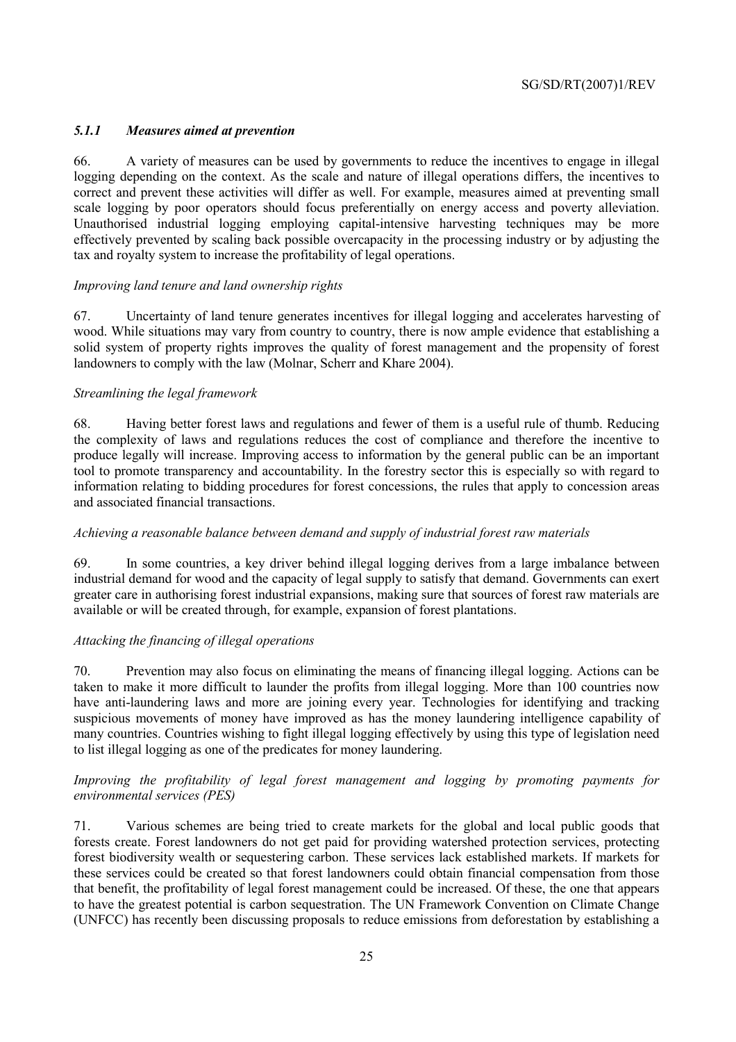## *5.1.1 Measures aimed at prevention*

66. A variety of measures can be used by governments to reduce the incentives to engage in illegal logging depending on the context. As the scale and nature of illegal operations differs, the incentives to correct and prevent these activities will differ as well. For example, measures aimed at preventing small scale logging by poor operators should focus preferentially on energy access and poverty alleviation. Unauthorised industrial logging employing capital-intensive harvesting techniques may be more effectively prevented by scaling back possible overcapacity in the processing industry or by adjusting the tax and royalty system to increase the profitability of legal operations.

## *Improving land tenure and land ownership rights*

67. Uncertainty of land tenure generates incentives for illegal logging and accelerates harvesting of wood. While situations may vary from country to country, there is now ample evidence that establishing a solid system of property rights improves the quality of forest management and the propensity of forest landowners to comply with the law (Molnar, Scherr and Khare 2004).

#### *Streamlining the legal framework*

68. Having better forest laws and regulations and fewer of them is a useful rule of thumb. Reducing the complexity of laws and regulations reduces the cost of compliance and therefore the incentive to produce legally will increase. Improving access to information by the general public can be an important tool to promote transparency and accountability. In the forestry sector this is especially so with regard to information relating to bidding procedures for forest concessions, the rules that apply to concession areas and associated financial transactions.

## *Achieving a reasonable balance between demand and supply of industrial forest raw materials*

69. In some countries, a key driver behind illegal logging derives from a large imbalance between industrial demand for wood and the capacity of legal supply to satisfy that demand. Governments can exert greater care in authorising forest industrial expansions, making sure that sources of forest raw materials are available or will be created through, for example, expansion of forest plantations.

## *Attacking the financing of illegal operations*

70. Prevention may also focus on eliminating the means of financing illegal logging. Actions can be taken to make it more difficult to launder the profits from illegal logging. More than 100 countries now have anti-laundering laws and more are joining every year. Technologies for identifying and tracking suspicious movements of money have improved as has the money laundering intelligence capability of many countries. Countries wishing to fight illegal logging effectively by using this type of legislation need to list illegal logging as one of the predicates for money laundering.

## *Improving the profitability of legal forest management and logging by promoting payments for environmental services (PES)*

71. Various schemes are being tried to create markets for the global and local public goods that forests create. Forest landowners do not get paid for providing watershed protection services, protecting forest biodiversity wealth or sequestering carbon. These services lack established markets. If markets for these services could be created so that forest landowners could obtain financial compensation from those that benefit, the profitability of legal forest management could be increased. Of these, the one that appears to have the greatest potential is carbon sequestration. The UN Framework Convention on Climate Change (UNFCC) has recently been discussing proposals to reduce emissions from deforestation by establishing a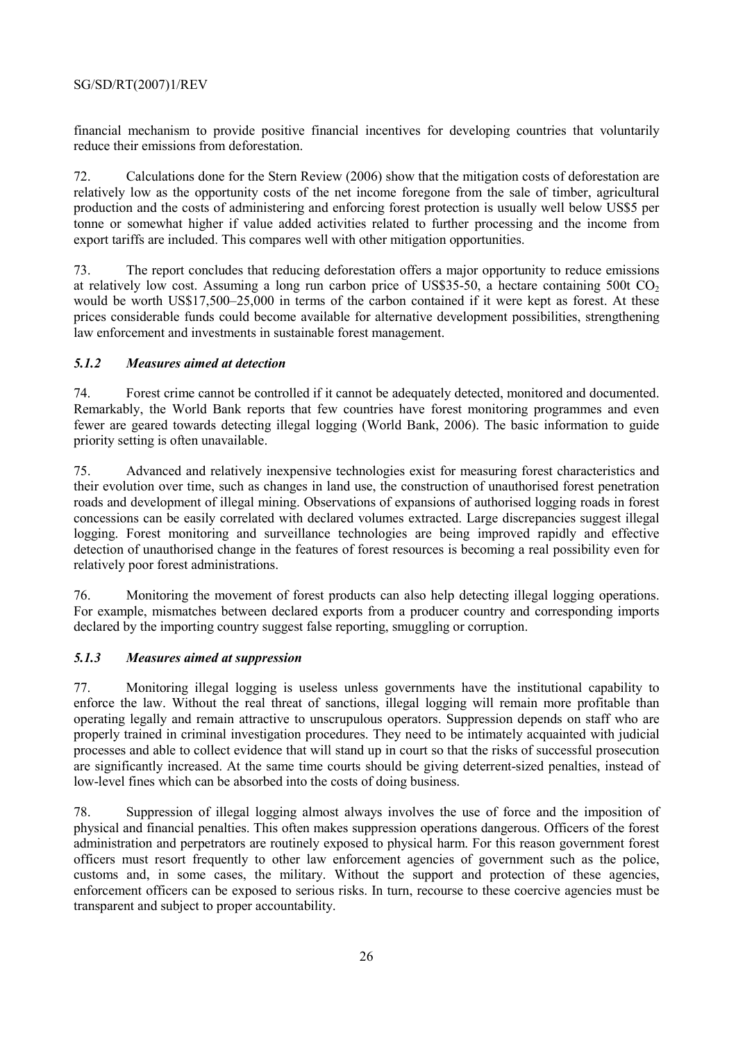financial mechanism to provide positive financial incentives for developing countries that voluntarily reduce their emissions from deforestation.

72. Calculations done for the Stern Review (2006) show that the mitigation costs of deforestation are relatively low as the opportunity costs of the net income foregone from the sale of timber, agricultural production and the costs of administering and enforcing forest protection is usually well below US\$5 per tonne or somewhat higher if value added activities related to further processing and the income from export tariffs are included. This compares well with other mitigation opportunities.

73. The report concludes that reducing deforestation offers a major opportunity to reduce emissions at relatively low cost. Assuming a long run carbon price of US\$35-50, a hectare containing 500t  $CO<sub>2</sub>$ would be worth US\$17,500–25,000 in terms of the carbon contained if it were kept as forest. At these prices considerable funds could become available for alternative development possibilities, strengthening law enforcement and investments in sustainable forest management.

## *5.1.2 Measures aimed at detection*

74. Forest crime cannot be controlled if it cannot be adequately detected, monitored and documented. Remarkably, the World Bank reports that few countries have forest monitoring programmes and even fewer are geared towards detecting illegal logging (World Bank, 2006). The basic information to guide priority setting is often unavailable.

75. Advanced and relatively inexpensive technologies exist for measuring forest characteristics and their evolution over time, such as changes in land use, the construction of unauthorised forest penetration roads and development of illegal mining. Observations of expansions of authorised logging roads in forest concessions can be easily correlated with declared volumes extracted. Large discrepancies suggest illegal logging. Forest monitoring and surveillance technologies are being improved rapidly and effective detection of unauthorised change in the features of forest resources is becoming a real possibility even for relatively poor forest administrations.

76. Monitoring the movement of forest products can also help detecting illegal logging operations. For example, mismatches between declared exports from a producer country and corresponding imports declared by the importing country suggest false reporting, smuggling or corruption.

## *5.1.3 Measures aimed at suppression*

77. Monitoring illegal logging is useless unless governments have the institutional capability to enforce the law. Without the real threat of sanctions, illegal logging will remain more profitable than operating legally and remain attractive to unscrupulous operators. Suppression depends on staff who are properly trained in criminal investigation procedures. They need to be intimately acquainted with judicial processes and able to collect evidence that will stand up in court so that the risks of successful prosecution are significantly increased. At the same time courts should be giving deterrent-sized penalties, instead of low-level fines which can be absorbed into the costs of doing business.

78. Suppression of illegal logging almost always involves the use of force and the imposition of physical and financial penalties. This often makes suppression operations dangerous. Officers of the forest administration and perpetrators are routinely exposed to physical harm. For this reason government forest officers must resort frequently to other law enforcement agencies of government such as the police, customs and, in some cases, the military. Without the support and protection of these agencies, enforcement officers can be exposed to serious risks. In turn, recourse to these coercive agencies must be transparent and subject to proper accountability.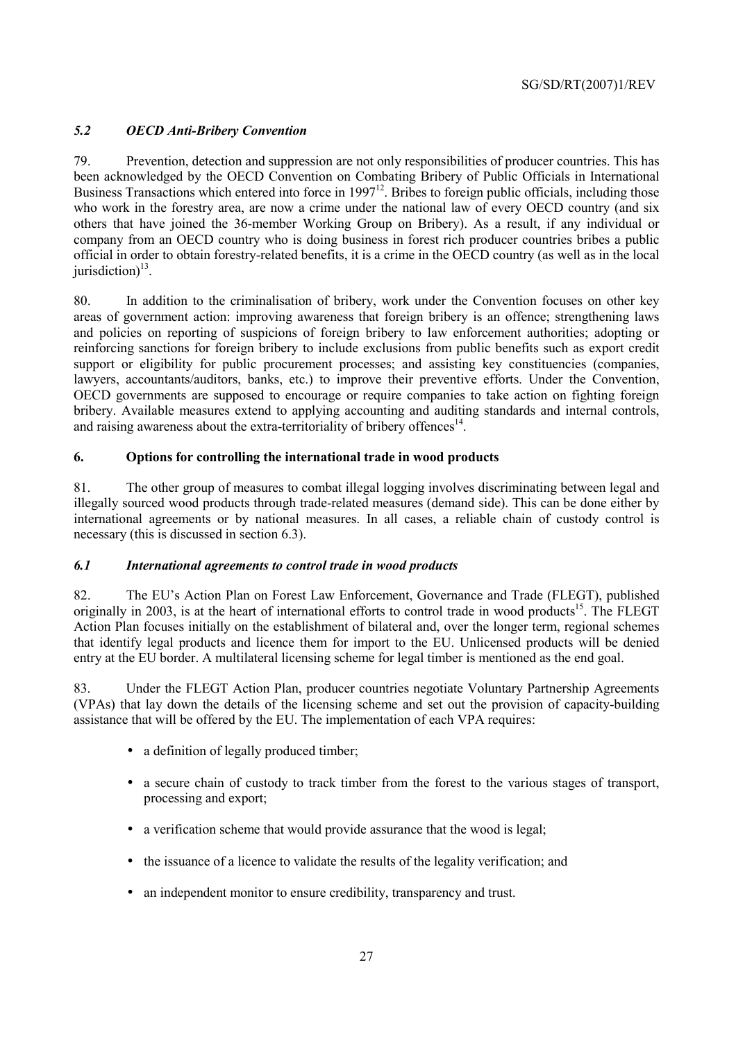# *5.2 OECD Anti-Bribery Convention*

79. Prevention, detection and suppression are not only responsibilities of producer countries. This has been acknowledged by the OECD Convention on Combating Bribery of Public Officials in International Business Transactions which entered into force in 1997<sup>12</sup>. Bribes to foreign public officials, including those who work in the forestry area, are now a crime under the national law of every OECD country (and six others that have joined the 36-member Working Group on Bribery). As a result, if any individual or company from an OECD country who is doing business in forest rich producer countries bribes a public official in order to obtain forestry-related benefits, it is a crime in the OECD country (as well as in the local jurisdiction) $^{13}$ .

80. In addition to the criminalisation of bribery, work under the Convention focuses on other key areas of government action: improving awareness that foreign bribery is an offence; strengthening laws and policies on reporting of suspicions of foreign bribery to law enforcement authorities; adopting or reinforcing sanctions for foreign bribery to include exclusions from public benefits such as export credit support or eligibility for public procurement processes; and assisting key constituencies (companies, lawyers, accountants/auditors, banks, etc.) to improve their preventive efforts. Under the Convention, OECD governments are supposed to encourage or require companies to take action on fighting foreign bribery. Available measures extend to applying accounting and auditing standards and internal controls, and raising awareness about the extra-territoriality of bribery offences $14$ .

# **6. Options for controlling the international trade in wood products**

81. The other group of measures to combat illegal logging involves discriminating between legal and illegally sourced wood products through trade-related measures (demand side). This can be done either by international agreements or by national measures. In all cases, a reliable chain of custody control is necessary (this is discussed in section 6.3).

# *6.1 International agreements to control trade in wood products*

82. The EU's Action Plan on Forest Law Enforcement, Governance and Trade (FLEGT), published originally in 2003, is at the heart of international efforts to control trade in wood products<sup>15</sup>. The FLEGT Action Plan focuses initially on the establishment of bilateral and, over the longer term, regional schemes that identify legal products and licence them for import to the EU. Unlicensed products will be denied entry at the EU border. A multilateral licensing scheme for legal timber is mentioned as the end goal.

83. Under the FLEGT Action Plan, producer countries negotiate Voluntary Partnership Agreements (VPAs) that lay down the details of the licensing scheme and set out the provision of capacity-building assistance that will be offered by the EU. The implementation of each VPA requires:

- a definition of legally produced timber;
- a secure chain of custody to track timber from the forest to the various stages of transport. processing and export;
- a verification scheme that would provide assurance that the wood is legal;
- the issuance of a licence to validate the results of the legality verification; and
- an independent monitor to ensure credibility, transparency and trust.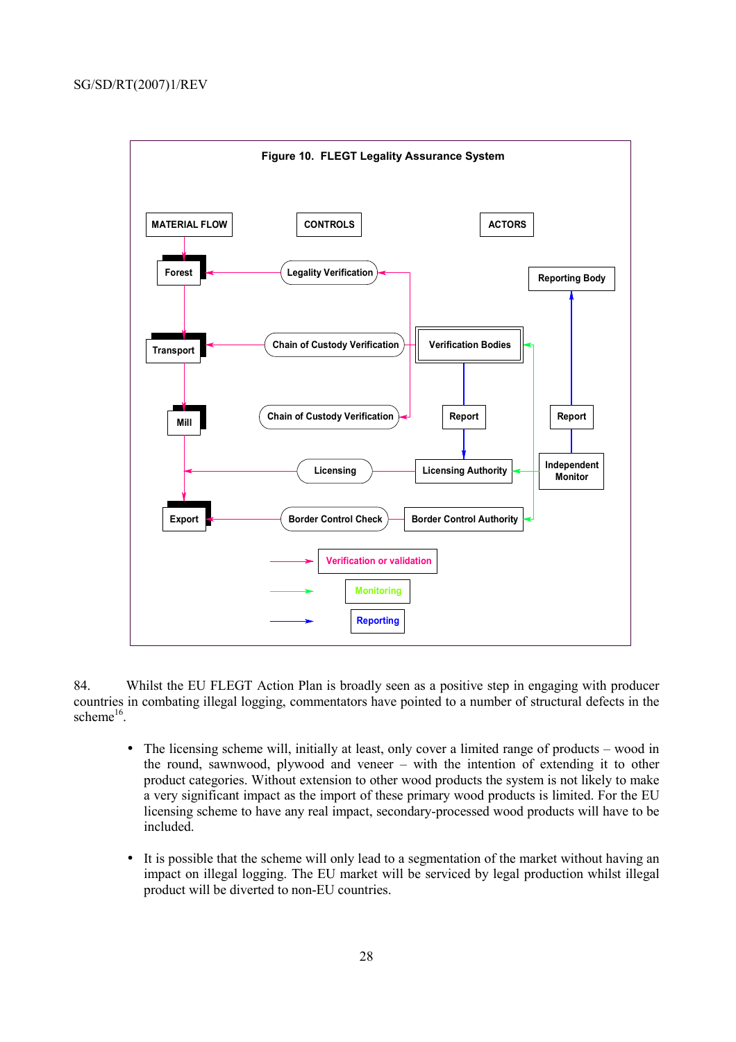

84. Whilst the EU FLEGT Action Plan is broadly seen as a positive step in engaging with producer countries in combating illegal logging, commentators have pointed to a number of structural defects in the scheme $16$ .

- The licensing scheme will, initially at least, only cover a limited range of products wood in the round, sawnwood, plywood and veneer – with the intention of extending it to other product categories. Without extension to other wood products the system is not likely to make a very significant impact as the import of these primary wood products is limited. For the EU licensing scheme to have any real impact, secondary-processed wood products will have to be included.
- It is possible that the scheme will only lead to a segmentation of the market without having an impact on illegal logging. The EU market will be serviced by legal production whilst illegal product will be diverted to non-EU countries.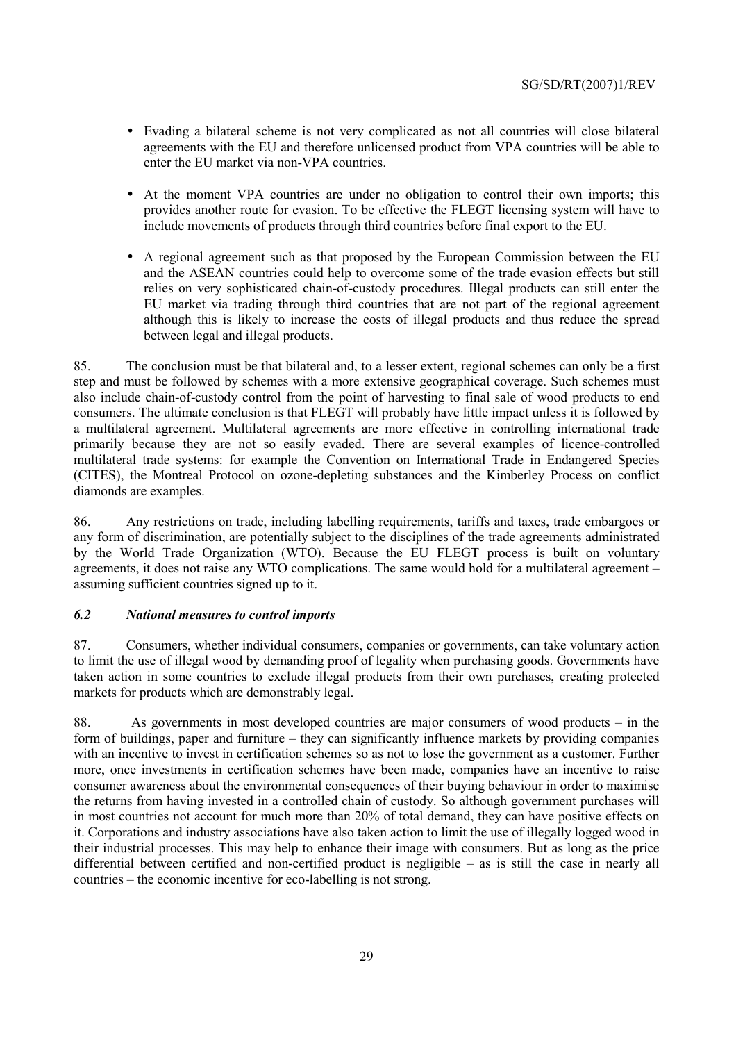- Evading a bilateral scheme is not very complicated as not all countries will close bilateral agreements with the EU and therefore unlicensed product from VPA countries will be able to enter the EU market via non-VPA countries.
- At the moment VPA countries are under no obligation to control their own imports; this provides another route for evasion. To be effective the FLEGT licensing system will have to include movements of products through third countries before final export to the EU.
- A regional agreement such as that proposed by the European Commission between the EU and the ASEAN countries could help to overcome some of the trade evasion effects but still relies on very sophisticated chain-of-custody procedures. Illegal products can still enter the EU market via trading through third countries that are not part of the regional agreement although this is likely to increase the costs of illegal products and thus reduce the spread between legal and illegal products.

85. The conclusion must be that bilateral and, to a lesser extent, regional schemes can only be a first step and must be followed by schemes with a more extensive geographical coverage. Such schemes must also include chain-of-custody control from the point of harvesting to final sale of wood products to end consumers. The ultimate conclusion is that FLEGT will probably have little impact unless it is followed by a multilateral agreement. Multilateral agreements are more effective in controlling international trade primarily because they are not so easily evaded. There are several examples of licence-controlled multilateral trade systems: for example the Convention on International Trade in Endangered Species (CITES), the Montreal Protocol on ozone-depleting substances and the Kimberley Process on conflict diamonds are examples.

86. Any restrictions on trade, including labelling requirements, tariffs and taxes, trade embargoes or any form of discrimination, are potentially subject to the disciplines of the trade agreements administrated by the World Trade Organization (WTO). Because the EU FLEGT process is built on voluntary agreements, it does not raise any WTO complications. The same would hold for a multilateral agreement – assuming sufficient countries signed up to it.

# *6.2 National measures to control imports*

87. Consumers, whether individual consumers, companies or governments, can take voluntary action to limit the use of illegal wood by demanding proof of legality when purchasing goods. Governments have taken action in some countries to exclude illegal products from their own purchases, creating protected markets for products which are demonstrably legal.

88. As governments in most developed countries are major consumers of wood products – in the form of buildings, paper and furniture – they can significantly influence markets by providing companies with an incentive to invest in certification schemes so as not to lose the government as a customer. Further more, once investments in certification schemes have been made, companies have an incentive to raise consumer awareness about the environmental consequences of their buying behaviour in order to maximise the returns from having invested in a controlled chain of custody. So although government purchases will in most countries not account for much more than 20% of total demand, they can have positive effects on it. Corporations and industry associations have also taken action to limit the use of illegally logged wood in their industrial processes. This may help to enhance their image with consumers. But as long as the price differential between certified and non-certified product is negligible – as is still the case in nearly all countries – the economic incentive for eco-labelling is not strong.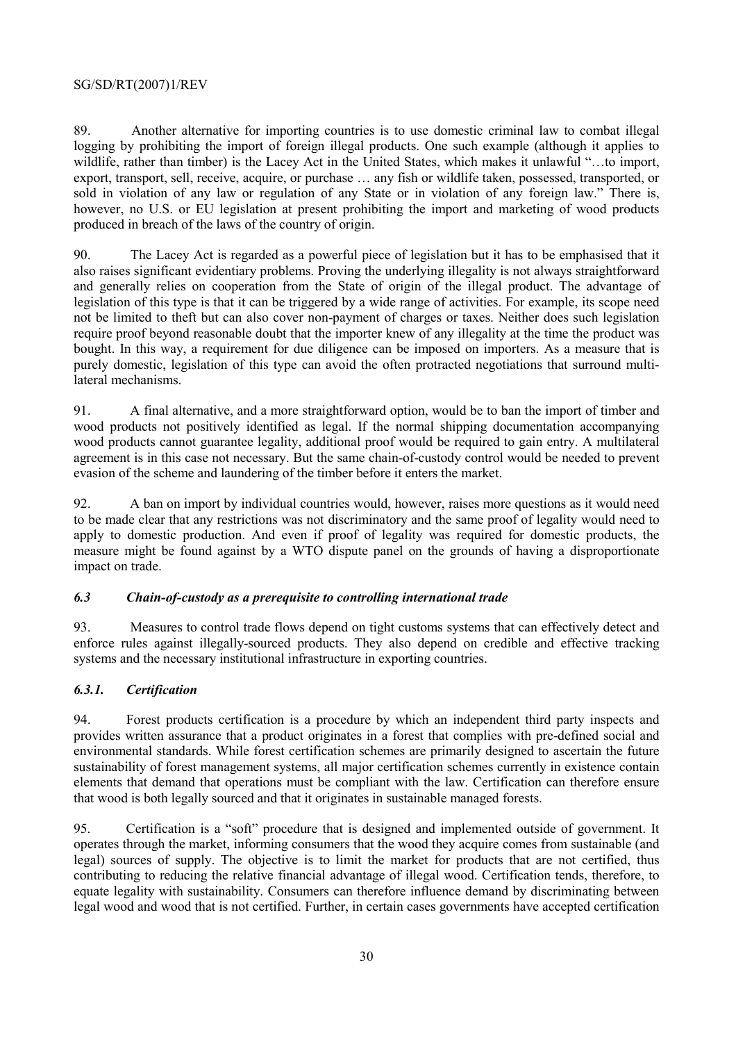89. Another alternative for importing countries is to use domestic criminal law to combat illegal logging by prohibiting the import of foreign illegal products. One such example (although it applies to wildlife, rather than timber) is the Lacey Act in the United States, which makes it unlawful "…to import, export, transport, sell, receive, acquire, or purchase … any fish or wildlife taken, possessed, transported, or sold in violation of any law or regulation of any State or in violation of any foreign law." There is, however, no U.S. or EU legislation at present prohibiting the import and marketing of wood products produced in breach of the laws of the country of origin.

90. The Lacey Act is regarded as a powerful piece of legislation but it has to be emphasised that it also raises significant evidentiary problems. Proving the underlying illegality is not always straightforward and generally relies on cooperation from the State of origin of the illegal product. The advantage of legislation of this type is that it can be triggered by a wide range of activities. For example, its scope need not be limited to theft but can also cover non-payment of charges or taxes. Neither does such legislation require proof beyond reasonable doubt that the importer knew of any illegality at the time the product was bought. In this way, a requirement for due diligence can be imposed on importers. As a measure that is purely domestic, legislation of this type can avoid the often protracted negotiations that surround multilateral mechanisms.

91. A final alternative, and a more straightforward option, would be to ban the import of timber and wood products not positively identified as legal. If the normal shipping documentation accompanying wood products cannot guarantee legality, additional proof would be required to gain entry. A multilateral agreement is in this case not necessary. But the same chain-of-custody control would be needed to prevent evasion of the scheme and laundering of the timber before it enters the market.

92. A ban on import by individual countries would, however, raises more questions as it would need to be made clear that any restrictions was not discriminatory and the same proof of legality would need to apply to domestic production. And even if proof of legality was required for domestic products, the measure might be found against by a WTO dispute panel on the grounds of having a disproportionate impact on trade.

# *6.3 Chain-of-custody as a prerequisite to controlling international trade*

93. Measures to control trade flows depend on tight customs systems that can effectively detect and enforce rules against illegally-sourced products. They also depend on credible and effective tracking systems and the necessary institutional infrastructure in exporting countries.

# *6.3.1. Certification*

94. Forest products certification is a procedure by which an independent third party inspects and provides written assurance that a product originates in a forest that complies with pre-defined social and environmental standards. While forest certification schemes are primarily designed to ascertain the future sustainability of forest management systems, all major certification schemes currently in existence contain elements that demand that operations must be compliant with the law. Certification can therefore ensure that wood is both legally sourced and that it originates in sustainable managed forests.

95. Certification is a "soft" procedure that is designed and implemented outside of government. It operates through the market, informing consumers that the wood they acquire comes from sustainable (and legal) sources of supply. The objective is to limit the market for products that are not certified, thus contributing to reducing the relative financial advantage of illegal wood. Certification tends, therefore, to equate legality with sustainability. Consumers can therefore influence demand by discriminating between legal wood and wood that is not certified. Further, in certain cases governments have accepted certification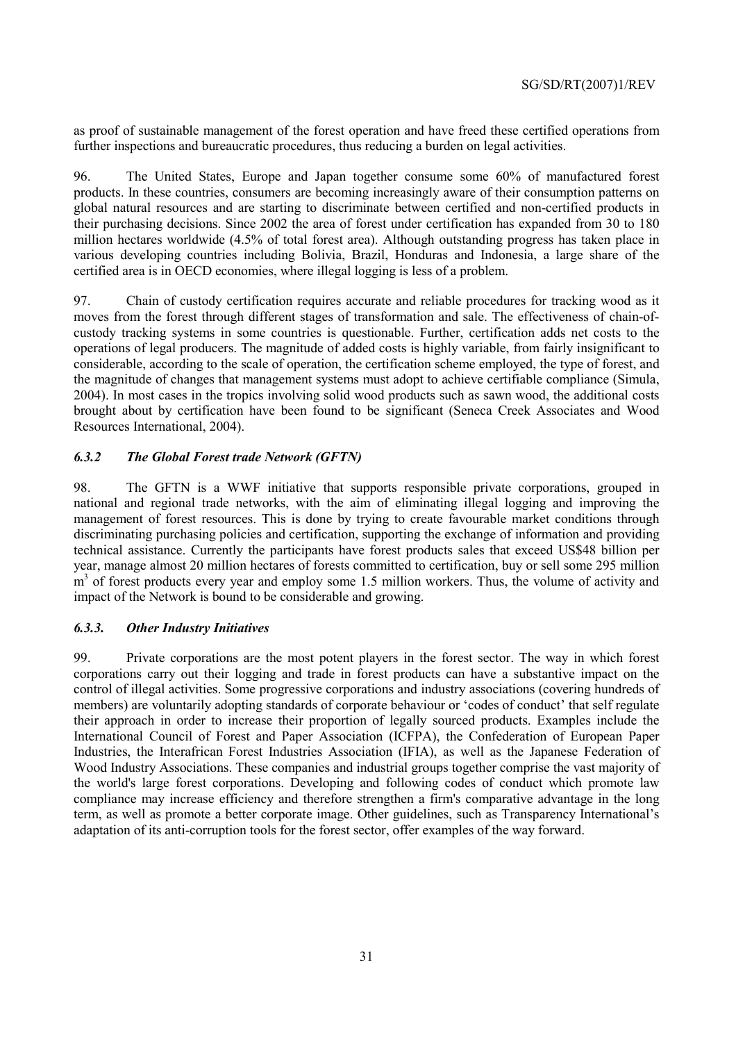as proof of sustainable management of the forest operation and have freed these certified operations from further inspections and bureaucratic procedures, thus reducing a burden on legal activities.

96. The United States, Europe and Japan together consume some 60% of manufactured forest products. In these countries, consumers are becoming increasingly aware of their consumption patterns on global natural resources and are starting to discriminate between certified and non-certified products in their purchasing decisions. Since 2002 the area of forest under certification has expanded from 30 to 180 million hectares worldwide (4.5% of total forest area). Although outstanding progress has taken place in various developing countries including Bolivia, Brazil, Honduras and Indonesia, a large share of the certified area is in OECD economies, where illegal logging is less of a problem.

97. Chain of custody certification requires accurate and reliable procedures for tracking wood as it moves from the forest through different stages of transformation and sale. The effectiveness of chain-ofcustody tracking systems in some countries is questionable. Further, certification adds net costs to the operations of legal producers. The magnitude of added costs is highly variable, from fairly insignificant to considerable, according to the scale of operation, the certification scheme employed, the type of forest, and the magnitude of changes that management systems must adopt to achieve certifiable compliance (Simula, 2004). In most cases in the tropics involving solid wood products such as sawn wood, the additional costs brought about by certification have been found to be significant (Seneca Creek Associates and Wood Resources International, 2004).

## *6.3.2 The Global Forest trade Network (GFTN)*

98. The GFTN is a WWF initiative that supports responsible private corporations, grouped in national and regional trade networks, with the aim of eliminating illegal logging and improving the management of forest resources. This is done by trying to create favourable market conditions through discriminating purchasing policies and certification, supporting the exchange of information and providing technical assistance. Currently the participants have forest products sales that exceed US\$48 billion per year, manage almost 20 million hectares of forests committed to certification, buy or sell some 295 million m<sup>3</sup> of forest products every year and employ some 1.5 million workers. Thus, the volume of activity and impact of the Network is bound to be considerable and growing.

## *6.3.3. Other Industry Initiatives*

99. Private corporations are the most potent players in the forest sector. The way in which forest corporations carry out their logging and trade in forest products can have a substantive impact on the control of illegal activities. Some progressive corporations and industry associations (covering hundreds of members) are voluntarily adopting standards of corporate behaviour or 'codes of conduct' that self regulate their approach in order to increase their proportion of legally sourced products. Examples include the International Council of Forest and Paper Association (ICFPA), the Confederation of European Paper Industries, the Interafrican Forest Industries Association (IFIA), as well as the Japanese Federation of Wood Industry Associations. These companies and industrial groups together comprise the vast majority of the world's large forest corporations. Developing and following codes of conduct which promote law compliance may increase efficiency and therefore strengthen a firm's comparative advantage in the long term, as well as promote a better corporate image. Other guidelines, such as Transparency International's adaptation of its anti-corruption tools for the forest sector, offer examples of the way forward.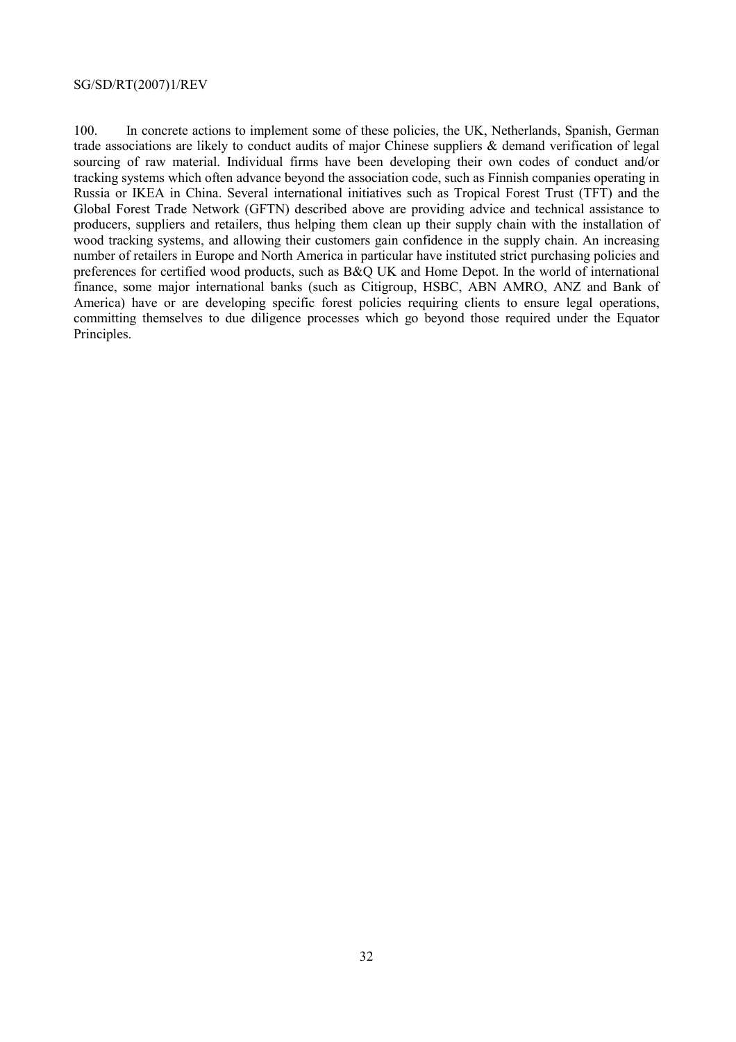100. In concrete actions to implement some of these policies, the UK, Netherlands, Spanish, German trade associations are likely to conduct audits of major Chinese suppliers & demand verification of legal sourcing of raw material. Individual firms have been developing their own codes of conduct and/or tracking systems which often advance beyond the association code, such as Finnish companies operating in Russia or IKEA in China. Several international initiatives such as Tropical Forest Trust (TFT) and the Global Forest Trade Network (GFTN) described above are providing advice and technical assistance to producers, suppliers and retailers, thus helping them clean up their supply chain with the installation of wood tracking systems, and allowing their customers gain confidence in the supply chain. An increasing number of retailers in Europe and North America in particular have instituted strict purchasing policies and preferences for certified wood products, such as B&Q UK and Home Depot. In the world of international finance, some major international banks (such as Citigroup, HSBC, ABN AMRO, ANZ and Bank of America) have or are developing specific forest policies requiring clients to ensure legal operations, committing themselves to due diligence processes which go beyond those required under the Equator Principles.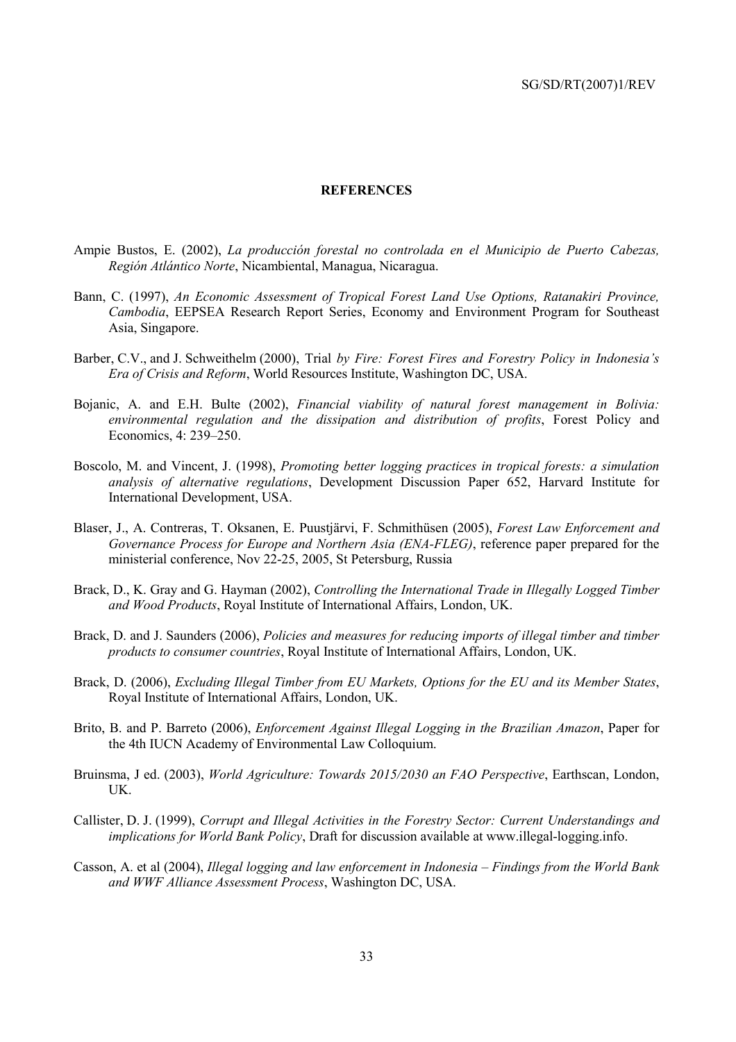#### **REFERENCES**

- Ampie Bustos, E. (2002), *La producción forestal no controlada en el Municipio de Puerto Cabezas, Región Atlántico Norte*, Nicambiental, Managua, Nicaragua.
- Bann, C. (1997), *An Economic Assessment of Tropical Forest Land Use Options, Ratanakiri Province, Cambodia*, EEPSEA Research Report Series, Economy and Environment Program for Southeast Asia, Singapore.
- Barber, C.V., and J. Schweithelm (2000), Trial *by Fire: Forest Fires and Forestry Policy in Indonesia's Era of Crisis and Reform*, World Resources Institute, Washington DC, USA.
- Bojanic, A. and E.H. Bulte (2002), *Financial viability of natural forest management in Bolivia: environmental regulation and the dissipation and distribution of profits*, Forest Policy and Economics, 4: 239–250.
- Boscolo, M. and Vincent, J. (1998), *Promoting better logging practices in tropical forests: a simulation analysis of alternative regulations*, Development Discussion Paper 652, Harvard Institute for International Development, USA.
- Blaser, J., A. Contreras, T. Oksanen, E. Puustjärvi, F. Schmithüsen (2005), *Forest Law Enforcement and Governance Process for Europe and Northern Asia (ENA-FLEG)*, reference paper prepared for the ministerial conference, Nov 22-25, 2005, St Petersburg, Russia
- Brack, D., K. Gray and G. Hayman (2002), *Controlling the International Trade in Illegally Logged Timber and Wood Products*, Royal Institute of International Affairs, London, UK.
- Brack, D. and J. Saunders (2006), *Policies and measures for reducing imports of illegal timber and timber products to consumer countries*, Royal Institute of International Affairs, London, UK.
- Brack, D. (2006), *Excluding Illegal Timber from EU Markets, Options for the EU and its Member States*, Royal Institute of International Affairs, London, UK.
- Brito, B. and P. Barreto (2006), *Enforcement Against Illegal Logging in the Brazilian Amazon*, Paper for the 4th IUCN Academy of Environmental Law Colloquium.
- Bruinsma, J ed. (2003), *World Agriculture: Towards 2015/2030 an FAO Perspective*, Earthscan, London, UK.
- Callister, D. J. (1999), *Corrupt and Illegal Activities in the Forestry Sector: Current Understandings and implications for World Bank Policy*, Draft for discussion available at www.illegal-logging.info.
- Casson, A. et al (2004), *Illegal logging and law enforcement in Indonesia Findings from the World Bank and WWF Alliance Assessment Process*, Washington DC, USA.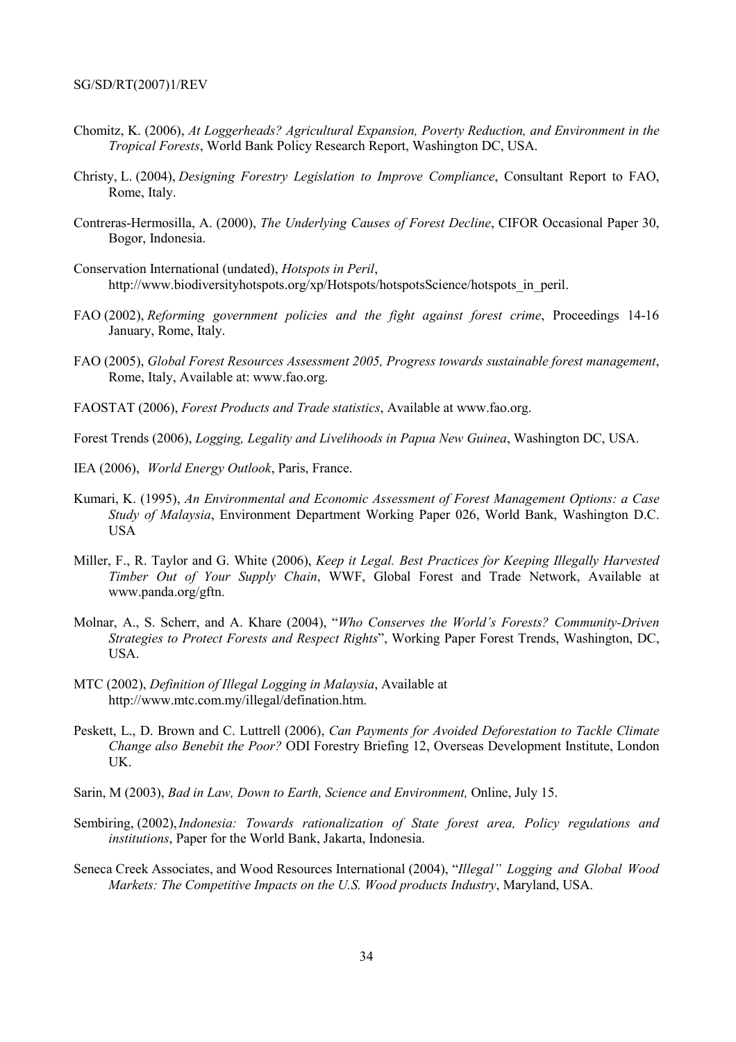- Chomitz, K. (2006), *At Loggerheads? Agricultural Expansion, Poverty Reduction, and Environment in the Tropical Forests*, World Bank Policy Research Report, Washington DC, USA.
- Christy, L. (2004), *Designing Forestry Legislation to Improve Compliance*, Consultant Report to FAO, Rome, Italy.
- Contreras-Hermosilla, A. (2000), *The Underlying Causes of Forest Decline*, CIFOR Occasional Paper 30, Bogor, Indonesia.
- Conservation International (undated), *Hotspots in Peril*, http://www.biodiversityhotspots.org/xp/Hotspots/hotspotsScience/hotspots\_in\_peril.
- FAO (2002), *Reforming government policies and the fight against forest crime*, Proceedings 14-16 January, Rome, Italy.
- FAO (2005), *Global Forest Resources Assessment 2005, Progress towards sustainable forest management*, Rome, Italy, Available at: www.fao.org.
- FAOSTAT (2006), *Forest Products and Trade statistics*, Available at www.fao.org.

Forest Trends (2006), *Logging, Legality and Livelihoods in Papua New Guinea*, Washington DC, USA.

- IEA (2006), *World Energy Outlook*, Paris, France.
- Kumari, K. (1995), *An Environmental and Economic Assessment of Forest Management Options: a Case Study of Malaysia*, Environment Department Working Paper 026, World Bank, Washington D.C. USA
- Miller, F., R. Taylor and G. White (2006), *Keep it Legal. Best Practices for Keeping Illegally Harvested Timber Out of Your Supply Chain*, WWF, Global Forest and Trade Network, Available at www.panda.org/gftn.
- Molnar, A., S. Scherr, and A. Khare (2004), "*Who Conserves the World's Forests? Community-Driven Strategies to Protect Forests and Respect Rights*", Working Paper Forest Trends, Washington, DC, USA.
- MTC (2002), *Definition of Illegal Logging in Malaysia*, Available at http://www.mtc.com.my/illegal/defination.htm.
- Peskett, L., D. Brown and C. Luttrell (2006), *Can Payments for Avoided Deforestation to Tackle Climate Change also Benebit the Poor?* ODI Forestry Briefing 12, Overseas Development Institute, London UK.
- Sarin, M (2003), *Bad in Law, Down to Earth, Science and Environment,* Online, July 15.
- Sembiring, (2002), *Indonesia: Towards rationalization of State forest area, Policy regulations and institutions*, Paper for the World Bank, Jakarta, Indonesia.
- Seneca Creek Associates, and Wood Resources International (2004), "*Illegal" Logging and Global Wood Markets: The Competitive Impacts on the U.S. Wood products Industry*, Maryland, USA.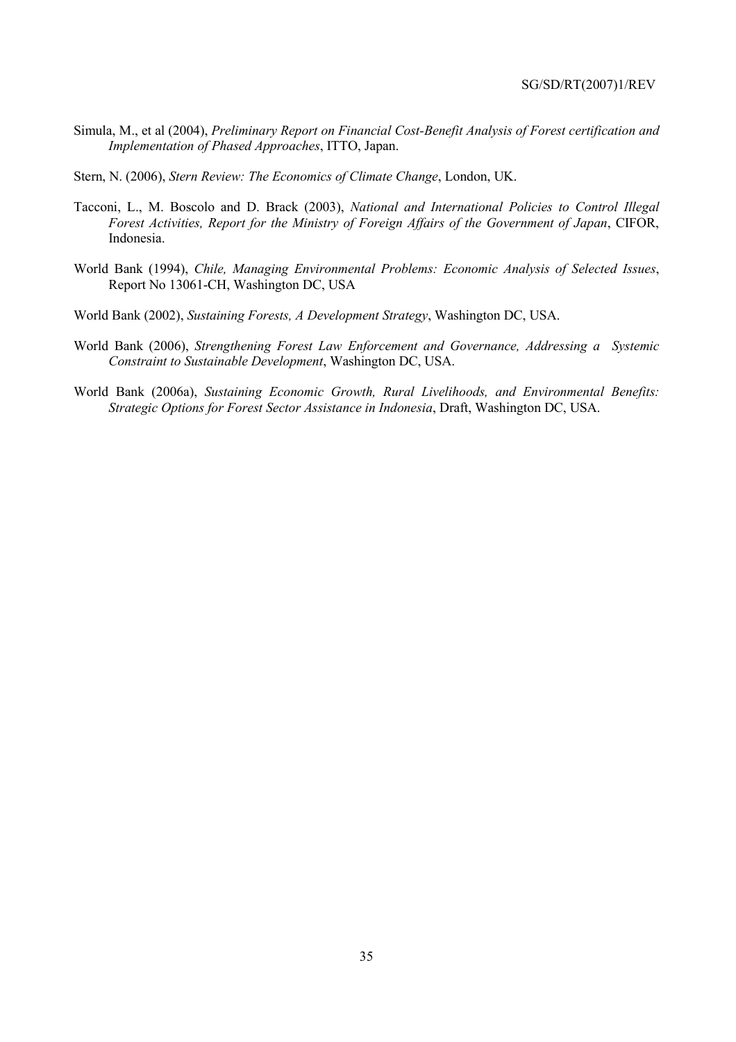- Simula, M., et al (2004), *Preliminary Report on Financial Cost-Benefit Analysis of Forest certification and Implementation of Phased Approaches*, ITTO, Japan.
- Stern, N. (2006), *Stern Review: The Economics of Climate Change*, London, UK.
- Tacconi, L., M. Boscolo and D. Brack (2003), *National and International Policies to Control Illegal Forest Activities, Report for the Ministry of Foreign Affairs of the Government of Japan*, CIFOR, Indonesia.
- World Bank (1994), *Chile, Managing Environmental Problems: Economic Analysis of Selected Issues*, Report No 13061-CH, Washington DC, USA
- World Bank (2002), *Sustaining Forests, A Development Strategy*, Washington DC, USA.
- World Bank (2006), *Strengthening Forest Law Enforcement and Governance, Addressing a Systemic Constraint to Sustainable Development*, Washington DC, USA.
- World Bank (2006a), *Sustaining Economic Growth, Rural Livelihoods, and Environmental Benefits: Strategic Options for Forest Sector Assistance in Indonesia*, Draft, Washington DC, USA.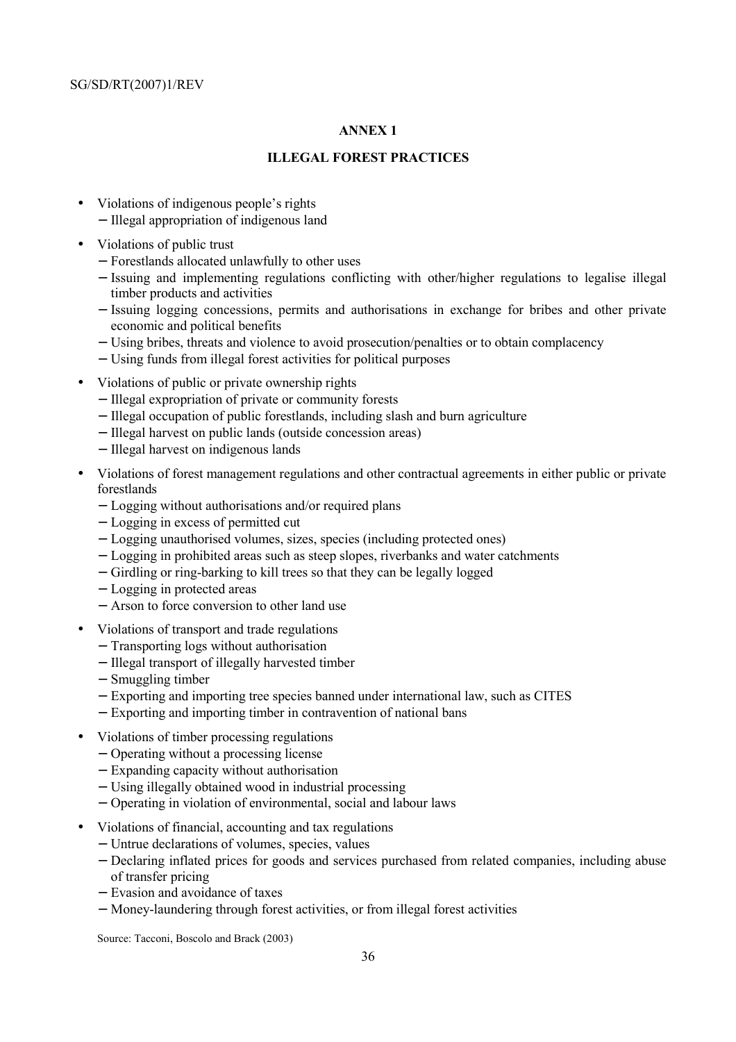# **ANNEX 1**

# **ILLEGAL FOREST PRACTICES**

- Violations of indigenous people's rights
	- − Illegal appropriation of indigenous land
- Violations of public trust
	- − Forestlands allocated unlawfully to other uses
	- − Issuing and implementing regulations conflicting with other/higher regulations to legalise illegal timber products and activities
	- − Issuing logging concessions, permits and authorisations in exchange for bribes and other private economic and political benefits
	- − Using bribes, threats and violence to avoid prosecution/penalties or to obtain complacency
	- − Using funds from illegal forest activities for political purposes
- Violations of public or private ownership rights
	- − Illegal expropriation of private or community forests
	- − Illegal occupation of public forestlands, including slash and burn agriculture
	- − Illegal harvest on public lands (outside concession areas)
	- − Illegal harvest on indigenous lands
- Violations of forest management regulations and other contractual agreements in either public or private forestlands
	- − Logging without authorisations and/or required plans
	- − Logging in excess of permitted cut
	- − Logging unauthorised volumes, sizes, species (including protected ones)
	- − Logging in prohibited areas such as steep slopes, riverbanks and water catchments
	- − Girdling or ring-barking to kill trees so that they can be legally logged
	- − Logging in protected areas
	- − Arson to force conversion to other land use
- Violations of transport and trade regulations
	- − Transporting logs without authorisation
	- − Illegal transport of illegally harvested timber
	- − Smuggling timber
	- − Exporting and importing tree species banned under international law, such as CITES
	- − Exporting and importing timber in contravention of national bans
- Violations of timber processing regulations
	- − Operating without a processing license
	- − Expanding capacity without authorisation
	- − Using illegally obtained wood in industrial processing
	- − Operating in violation of environmental, social and labour laws
- Violations of financial, accounting and tax regulations
	- − Untrue declarations of volumes, species, values
	- − Declaring inflated prices for goods and services purchased from related companies, including abuse of transfer pricing
	- − Evasion and avoidance of taxes
	- − Money-laundering through forest activities, or from illegal forest activities

Source: Tacconi, Boscolo and Brack (2003)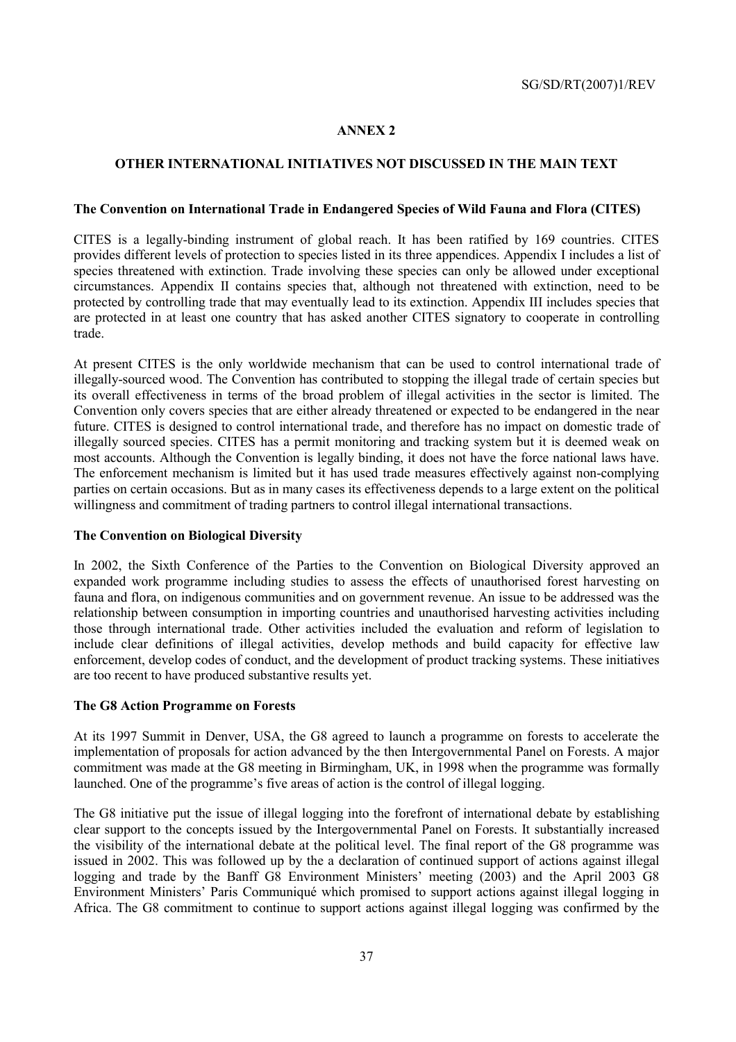# **ANNEX 2**

## **OTHER INTERNATIONAL INITIATIVES NOT DISCUSSED IN THE MAIN TEXT**

#### **The Convention on International Trade in Endangered Species of Wild Fauna and Flora (CITES)**

CITES is a legally-binding instrument of global reach. It has been ratified by 169 countries. CITES provides different levels of protection to species listed in its three appendices. Appendix I includes a list of species threatened with extinction. Trade involving these species can only be allowed under exceptional circumstances. Appendix II contains species that, although not threatened with extinction, need to be protected by controlling trade that may eventually lead to its extinction. Appendix III includes species that are protected in at least one country that has asked another CITES signatory to cooperate in controlling trade.

At present CITES is the only worldwide mechanism that can be used to control international trade of illegally-sourced wood. The Convention has contributed to stopping the illegal trade of certain species but its overall effectiveness in terms of the broad problem of illegal activities in the sector is limited. The Convention only covers species that are either already threatened or expected to be endangered in the near future. CITES is designed to control international trade, and therefore has no impact on domestic trade of illegally sourced species. CITES has a permit monitoring and tracking system but it is deemed weak on most accounts. Although the Convention is legally binding, it does not have the force national laws have. The enforcement mechanism is limited but it has used trade measures effectively against non-complying parties on certain occasions. But as in many cases its effectiveness depends to a large extent on the political willingness and commitment of trading partners to control illegal international transactions.

## **The Convention on Biological Diversity**

In 2002, the Sixth Conference of the Parties to the Convention on Biological Diversity approved an expanded work programme including studies to assess the effects of unauthorised forest harvesting on fauna and flora, on indigenous communities and on government revenue. An issue to be addressed was the relationship between consumption in importing countries and unauthorised harvesting activities including those through international trade. Other activities included the evaluation and reform of legislation to include clear definitions of illegal activities, develop methods and build capacity for effective law enforcement, develop codes of conduct, and the development of product tracking systems. These initiatives are too recent to have produced substantive results yet.

## **The G8 Action Programme on Forests**

At its 1997 Summit in Denver, USA, the G8 agreed to launch a programme on forests to accelerate the implementation of proposals for action advanced by the then Intergovernmental Panel on Forests. A major commitment was made at the G8 meeting in Birmingham, UK, in 1998 when the programme was formally launched. One of the programme's five areas of action is the control of illegal logging.

The G8 initiative put the issue of illegal logging into the forefront of international debate by establishing clear support to the concepts issued by the Intergovernmental Panel on Forests. It substantially increased the visibility of the international debate at the political level. The final report of the G8 programme was issued in 2002. This was followed up by the a declaration of continued support of actions against illegal logging and trade by the Banff G8 Environment Ministers' meeting (2003) and the April 2003 G8 Environment Ministers' Paris Communiqué which promised to support actions against illegal logging in Africa. The G8 commitment to continue to support actions against illegal logging was confirmed by the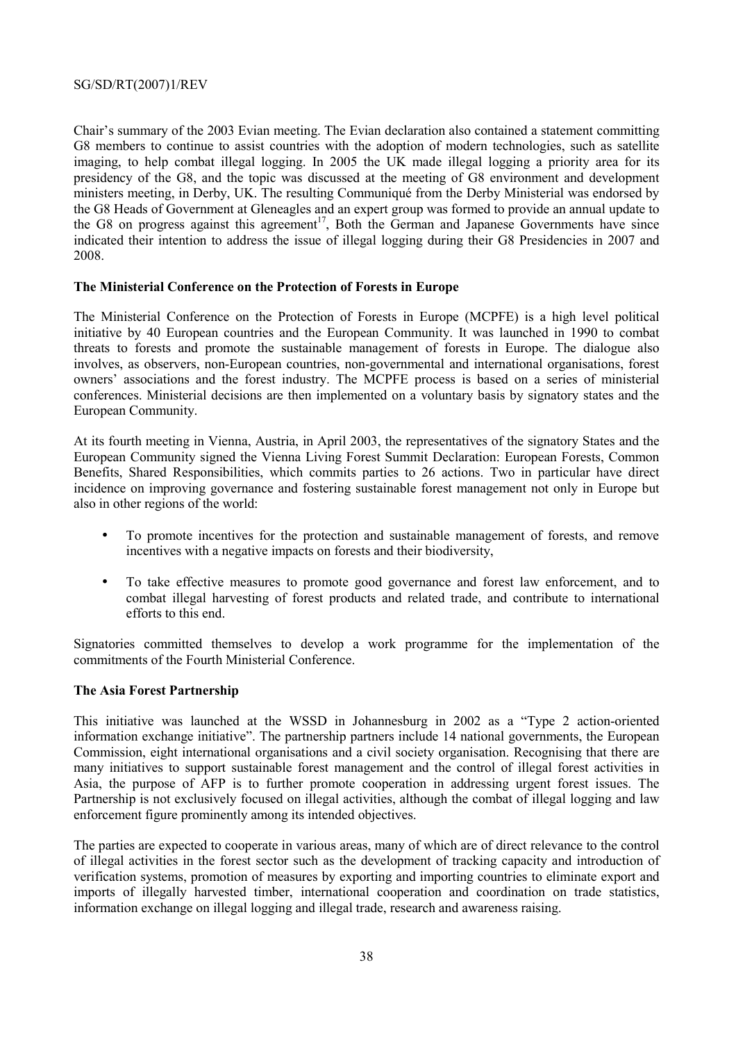Chair's summary of the 2003 Evian meeting. The Evian declaration also contained a statement committing G8 members to continue to assist countries with the adoption of modern technologies, such as satellite imaging, to help combat illegal logging. In 2005 the UK made illegal logging a priority area for its presidency of the G8, and the topic was discussed at the meeting of G8 environment and development ministers meeting, in Derby, UK. The resulting Communiqué from the Derby Ministerial was endorsed by the G8 Heads of Government at Gleneagles and an expert group was formed to provide an annual update to the G8 on progress against this agreement<sup>17</sup>. Both the German and Japanese Governments have since indicated their intention to address the issue of illegal logging during their G8 Presidencies in 2007 and 2008.

## **The Ministerial Conference on the Protection of Forests in Europe**

The Ministerial Conference on the Protection of Forests in Europe (MCPFE) is a high level political initiative by 40 European countries and the European Community. It was launched in 1990 to combat threats to forests and promote the sustainable management of forests in Europe. The dialogue also involves, as observers, non-European countries, non-governmental and international organisations, forest owners' associations and the forest industry. The MCPFE process is based on a series of ministerial conferences. Ministerial decisions are then implemented on a voluntary basis by signatory states and the European Community.

At its fourth meeting in Vienna, Austria, in April 2003, the representatives of the signatory States and the European Community signed the Vienna Living Forest Summit Declaration: European Forests, Common Benefits, Shared Responsibilities, which commits parties to 26 actions. Two in particular have direct incidence on improving governance and fostering sustainable forest management not only in Europe but also in other regions of the world:

- To promote incentives for the protection and sustainable management of forests, and remove incentives with a negative impacts on forests and their biodiversity,
- To take effective measures to promote good governance and forest law enforcement, and to combat illegal harvesting of forest products and related trade, and contribute to international efforts to this end.

Signatories committed themselves to develop a work programme for the implementation of the commitments of the Fourth Ministerial Conference.

#### **The Asia Forest Partnership**

This initiative was launched at the WSSD in Johannesburg in 2002 as a "Type 2 action-oriented information exchange initiative". The partnership partners include 14 national governments, the European Commission, eight international organisations and a civil society organisation. Recognising that there are many initiatives to support sustainable forest management and the control of illegal forest activities in Asia, the purpose of AFP is to further promote cooperation in addressing urgent forest issues. The Partnership is not exclusively focused on illegal activities, although the combat of illegal logging and law enforcement figure prominently among its intended objectives.

The parties are expected to cooperate in various areas, many of which are of direct relevance to the control of illegal activities in the forest sector such as the development of tracking capacity and introduction of verification systems, promotion of measures by exporting and importing countries to eliminate export and imports of illegally harvested timber, international cooperation and coordination on trade statistics, information exchange on illegal logging and illegal trade, research and awareness raising.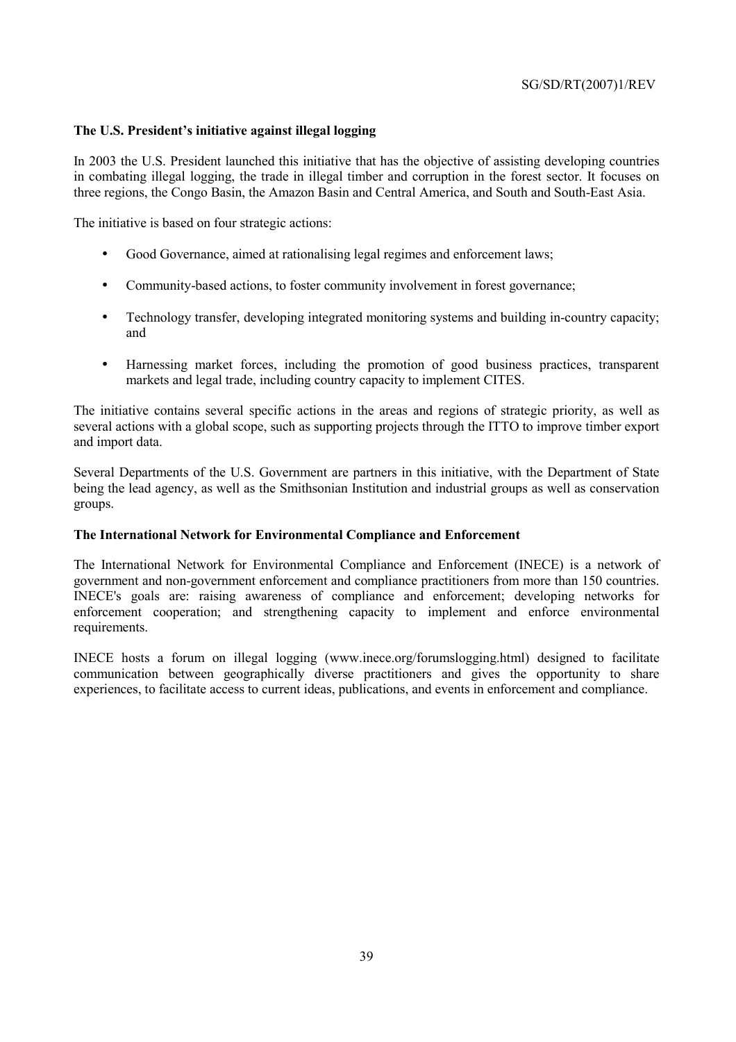## **The U.S. President's initiative against illegal logging**

In 2003 the U.S. President launched this initiative that has the objective of assisting developing countries in combating illegal logging, the trade in illegal timber and corruption in the forest sector. It focuses on three regions, the Congo Basin, the Amazon Basin and Central America, and South and South-East Asia.

The initiative is based on four strategic actions:

- Good Governance, aimed at rationalising legal regimes and enforcement laws;
- Community-based actions, to foster community involvement in forest governance;
- Technology transfer, developing integrated monitoring systems and building in-country capacity; and
- Harnessing market forces, including the promotion of good business practices, transparent markets and legal trade, including country capacity to implement CITES.

The initiative contains several specific actions in the areas and regions of strategic priority, as well as several actions with a global scope, such as supporting projects through the ITTO to improve timber export and import data.

Several Departments of the U.S. Government are partners in this initiative, with the Department of State being the lead agency, as well as the Smithsonian Institution and industrial groups as well as conservation groups.

## **The International Network for Environmental Compliance and Enforcement**

The International Network for Environmental Compliance and Enforcement (INECE) is a network of government and non-government enforcement and compliance practitioners from more than 150 countries. INECE's goals are: raising awareness of compliance and enforcement; developing networks for enforcement cooperation; and strengthening capacity to implement and enforce environmental requirements.

INECE hosts a forum on illegal logging (www.inece.org/forumslogging.html) designed to facilitate communication between geographically diverse practitioners and gives the opportunity to share experiences, to facilitate access to current ideas, publications, and events in enforcement and compliance.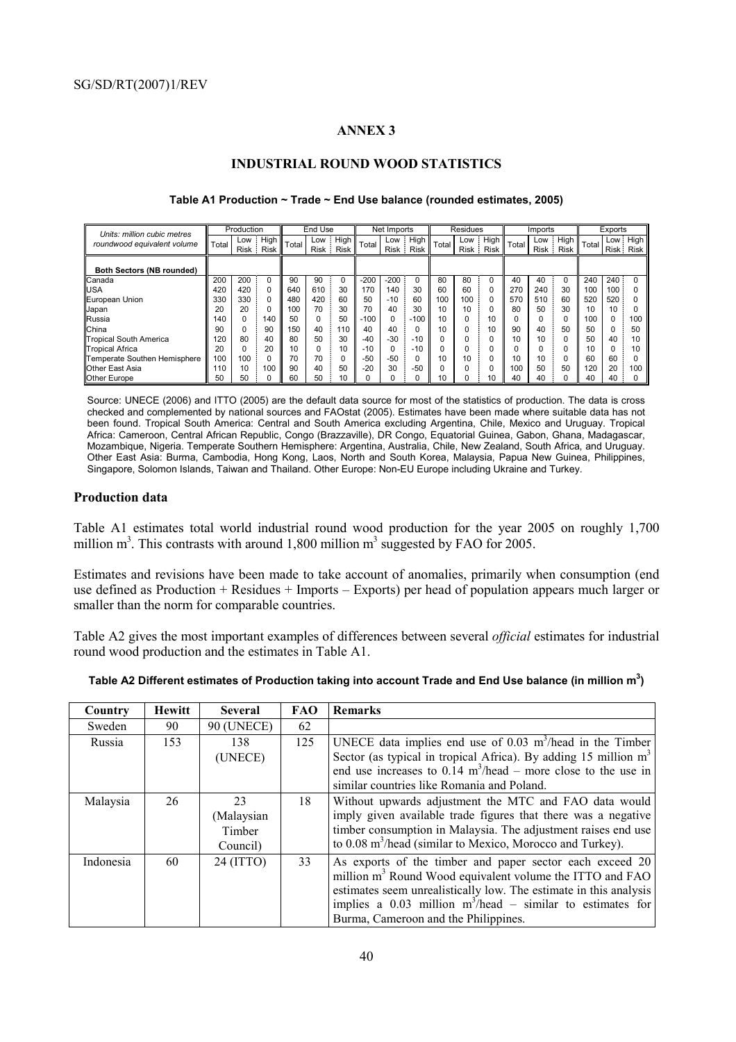#### **ANNEX 3**

#### **INDUSTRIAL ROUND WOOD STATISTICS**

| Units: million cubic metres      |       | Production |                   |       | End Use       |                       |        | Net Imports |                       |       | Residues |                   |       | Imports |                       |       | Exports   |          |
|----------------------------------|-------|------------|-------------------|-------|---------------|-----------------------|--------|-------------|-----------------------|-------|----------|-------------------|-------|---------|-----------------------|-------|-----------|----------|
| roundwood equivalent volume      | Total | Low        | High<br>Risk Risk | Total | Low<br>Risk i | High  <br><b>Risk</b> | Total  |             | Low High<br>Risk Risk | Total | Low      | High<br>Risk Risk | Total |         | Low High<br>Risk Risk | Total | Risk Risk | Low High |
| <b>Both Sectors (NB rounded)</b> |       |            |                   |       |               |                       |        |             |                       |       |          |                   |       |         |                       |       |           |          |
| Canada                           | 200   | 200        |                   | 90    | 90            | 0                     | $-200$ | $-200$      |                       | 80    | 80       |                   | 40    | 40      |                       | 240   | $240 -$   |          |
| <b>USA</b>                       | 420   | 420        | 0                 | 640   | 610           | 30                    | 170    | 140         | 30                    | 60    | 60       |                   | 270   | 240     | 30                    | 100   | 100:      |          |
| European Union                   | 330   | 330        | 0                 | 480   | 420           | 60                    | 50     | $-10$       | 60                    | 100   | 100      |                   | 570   | 510     | 60                    | 520   | 520       |          |
| Japan                            | 20    | 20         | 0                 | 100   | 70            | 30                    | 70     | 40          | 30                    | 10    | 10       |                   | 80    | 50      | 30                    | 10    | 10        |          |
| Russia                           | 140   |            | 140               | 50    | 0             | 50                    | $-100$ |             | 100                   | 10    |          | 10                |       | 0       |                       | 100   |           | 100      |
| China                            | 90    |            | 90                | 150   | 40            | 110                   | 40     | 40          |                       | 10    |          | 10                | 90    | 40      | 50                    | 50    |           | 50       |
| <b>Tropical South America</b>    | 120   | 80         | 40                | 80    | 50            | 30                    | $-40$  | $-30$       | $-10$                 |       |          |                   | 10    | 10      |                       | 50    | 40        |          |
| <b>Tropical Africa</b>           | 20    |            | 20                | 10    |               | 10                    | $-10$  |             | $-10$                 |       |          |                   |       |         |                       | 10    |           |          |
| Temperate Southen Hemisphere     | 100   | 100        | 0                 | 70    | 70            | 0                     | $-50$  | $-50$       |                       | 10    | 10       |                   | 10    | 10      |                       | 60    | 60        |          |
| Other East Asia                  | 110   | 10         | 100               | 90    | 40            | 50                    | $-20$  | 30          | $-50$                 |       |          |                   | 100   | 50      | 50                    | 120   | 20        | 100      |
| <b>Other Europe</b>              | 50    | 50         |                   | 60    | 50            | 10                    |        |             |                       | 10    |          | 10                | 40    | 40      |                       | 40    | 40        |          |

#### **Table A1 Production ~ Trade ~ End Use balance (rounded estimates, 2005)**

Source: UNECE (2006) and ITTO (2005) are the default data source for most of the statistics of production. The data is cross checked and complemented by national sources and FAOstat (2005). Estimates have been made where suitable data has not been found. Tropical South America: Central and South America excluding Argentina, Chile, Mexico and Uruguay. Tropical Africa: Cameroon, Central African Republic, Congo (Brazzaville), DR Congo, Equatorial Guinea, Gabon, Ghana, Madagascar, Mozambique, Nigeria. Temperate Southern Hemisphere: Argentina, Australia, Chile, New Zealand, South Africa, and Uruguay. Other East Asia: Burma, Cambodia, Hong Kong, Laos, North and South Korea, Malaysia, Papua New Guinea, Philippines, Singapore, Solomon Islands, Taiwan and Thailand. Other Europe: Non-EU Europe including Ukraine and Turkey.

## **Production data**

Table A1 estimates total world industrial round wood production for the year 2005 on roughly 1,700 million  $m<sup>3</sup>$ . This contrasts with around 1,800 million  $m<sup>3</sup>$  suggested by FAO for 2005.

Estimates and revisions have been made to take account of anomalies, primarily when consumption (end use defined as Production + Residues + Imports – Exports) per head of population appears much larger or smaller than the norm for comparable countries.

Table A2 gives the most important examples of differences between several *official* estimates for industrial round wood production and the estimates in Table A1.

| Table A2 Different estimates of Production taking into account Trade and End Use balance (in million $\mathsf{m}^3)$ |  |  |
|----------------------------------------------------------------------------------------------------------------------|--|--|
|                                                                                                                      |  |  |

| Country   | <b>Hewitt</b> | <b>Several</b>                         | FAO | <b>Remarks</b>                                                                                                                                                                                                                                                                                                 |
|-----------|---------------|----------------------------------------|-----|----------------------------------------------------------------------------------------------------------------------------------------------------------------------------------------------------------------------------------------------------------------------------------------------------------------|
| Sweden    | 90            | <b>90 (UNECE)</b>                      | 62  |                                                                                                                                                                                                                                                                                                                |
| Russia    | 153           | 138<br>(UNECE)                         | 125 | UNECE data implies end use of 0.03 $m^3$ /head in the Timber<br>Sector (as typical in tropical Africa). By adding 15 million $m3$<br>end use increases to $0.14 \text{ m}^3/\text{head}$ – more close to the use in<br>similar countries like Romania and Poland.                                              |
| Malaysia  | 26            | 23<br>(Malaysian<br>Timber<br>Council) | 18  | Without upwards adjustment the MTC and FAO data would<br>imply given available trade figures that there was a negative<br>timber consumption in Malaysia. The adjustment raises end use<br>to 0.08 m <sup>3</sup> /head (similar to Mexico, Morocco and Turkey).                                               |
| Indonesia | 60            | 24 (ITTO)                              | 33  | As exports of the timber and paper sector each exceed 20<br>million m <sup>3</sup> Round Wood equivalent volume the ITTO and FAO<br>estimates seem unrealistically low. The estimate in this analysis<br>implies a 0.03 million $m^3$ /head – similar to estimates for<br>Burma, Cameroon and the Philippines. |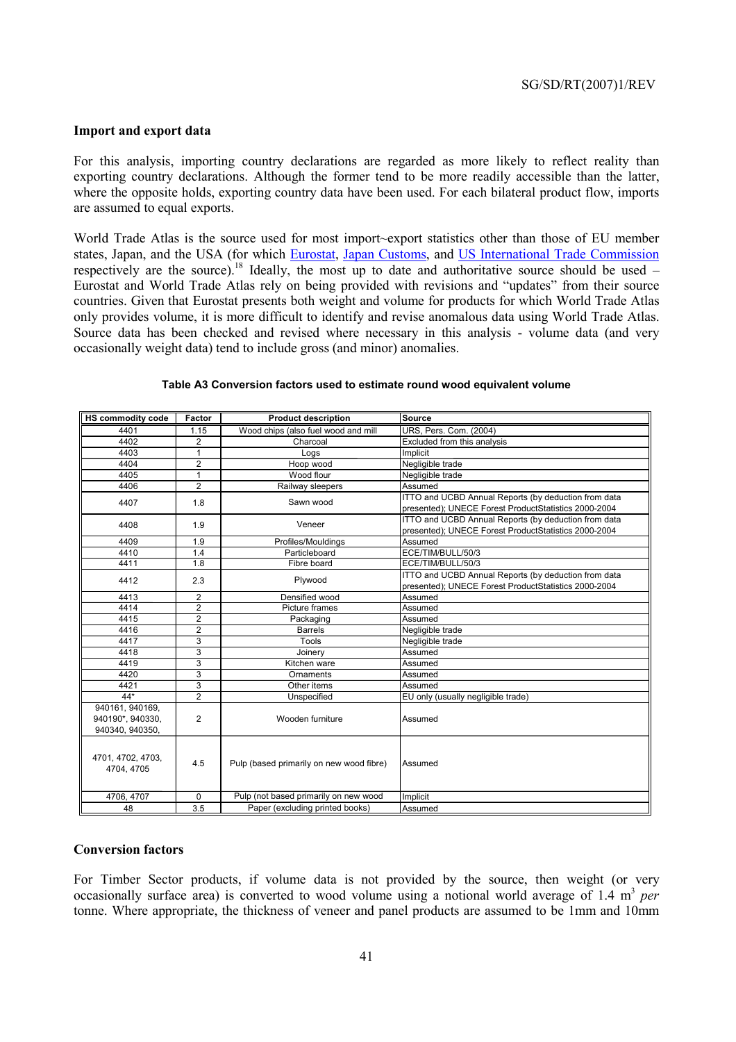#### **Import and export data**

For this analysis, importing country declarations are regarded as more likely to reflect reality than exporting country declarations. Although the former tend to be more readily accessible than the latter, where the opposite holds, exporting country data have been used. For each bilateral product flow, imports are assumed to equal exports.

World Trade Atlas is the source used for most import~export statistics other than those of EU member states, Japan, and the USA (for which Eurostat, Japan Customs, and US International Trade Commission respectively are the source).<sup>18</sup> Ideally, the most up to date and authoritative source should be used  $-$ Eurostat and World Trade Atlas rely on being provided with revisions and "updates" from their source countries. Given that Eurostat presents both weight and volume for products for which World Trade Atlas only provides volume, it is more difficult to identify and revise anomalous data using World Trade Atlas. Source data has been checked and revised where necessary in this analysis - volume data (and very occasionally weight data) tend to include gross (and minor) anomalies.

| <b>HS commodity code</b>        | <b>Factor</b>  | <b>Product description</b>               | <b>Source</b>                                        |
|---------------------------------|----------------|------------------------------------------|------------------------------------------------------|
| 4401                            | 1.15           | Wood chips (also fuel wood and mill      | URS, Pers. Com. (2004)                               |
| 4402                            | 2              | Charcoal                                 | Excluded from this analysis                          |
| 4403                            | 1              | Logs                                     | Implicit                                             |
| 4404                            | $\overline{2}$ | Hoop wood                                | Negligible trade                                     |
| 4405                            | $\mathbf{1}$   | Wood flour                               | Negligible trade                                     |
| 4406                            | $\overline{2}$ | Railway sleepers                         | Assumed                                              |
| 4407                            | 1.8            | Sawn wood                                | ITTO and UCBD Annual Reports (by deduction from data |
|                                 |                |                                          | presented); UNECE Forest ProductStatistics 2000-2004 |
| 4408                            | 1.9            | Veneer                                   | ITTO and UCBD Annual Reports (by deduction from data |
|                                 |                |                                          | presented); UNECE Forest ProductStatistics 2000-2004 |
| 4409                            | 1.9            | Profiles/Mouldings                       | Assumed                                              |
| 4410                            | 1.4            | Particleboard                            | ECE/TIM/BULL/50/3                                    |
| 4411                            | 1.8            | Fibre board                              | ECE/TIM/BULL/50/3                                    |
| 4412                            | 2.3            | Plywood                                  | ITTO and UCBD Annual Reports (by deduction from data |
|                                 |                |                                          | presented); UNECE Forest ProductStatistics 2000-2004 |
| 4413                            | $\overline{2}$ | Densified wood                           | Assumed                                              |
| 4414                            | $\overline{2}$ | Picture frames                           | Assumed                                              |
| 4415                            | $\overline{2}$ | Packaging                                | Assumed                                              |
| 4416                            | $\overline{c}$ | <b>Barrels</b>                           | Negligible trade                                     |
| 4417                            | 3              | Tools                                    | Negligible trade                                     |
| 4418                            | 3              | Joinery                                  | Assumed                                              |
| 4419                            | 3              | Kitchen ware                             | Assumed                                              |
| 4420                            | 3              | Ornaments                                | Assumed                                              |
| 4421                            | 3              | Other items                              | Assumed                                              |
| $44*$                           | $\overline{2}$ | Unspecified                              | EU only (usually negligible trade)                   |
| 940161, 940169,                 |                |                                          |                                                      |
| 940190*, 940330,                | $\overline{2}$ | Wooden furniture                         | Assumed                                              |
| 940340, 940350,                 |                |                                          |                                                      |
| 4701, 4702, 4703,<br>4704, 4705 | 4.5            | Pulp (based primarily on new wood fibre) | Assumed                                              |
| 4706, 4707                      | 0              | Pulp (not based primarily on new wood    | Implicit                                             |
| 48                              | 3.5            | Paper (excluding printed books)          | Assumed                                              |

#### **Table A3 Conversion factors used to estimate round wood equivalent volume**

#### **Conversion factors**

For Timber Sector products, if volume data is not provided by the source, then weight (or very occasionally surface area) is converted to wood volume using a notional world average of 1.4 m<sup>3</sup> per tonne. Where appropriate, the thickness of veneer and panel products are assumed to be 1mm and 10mm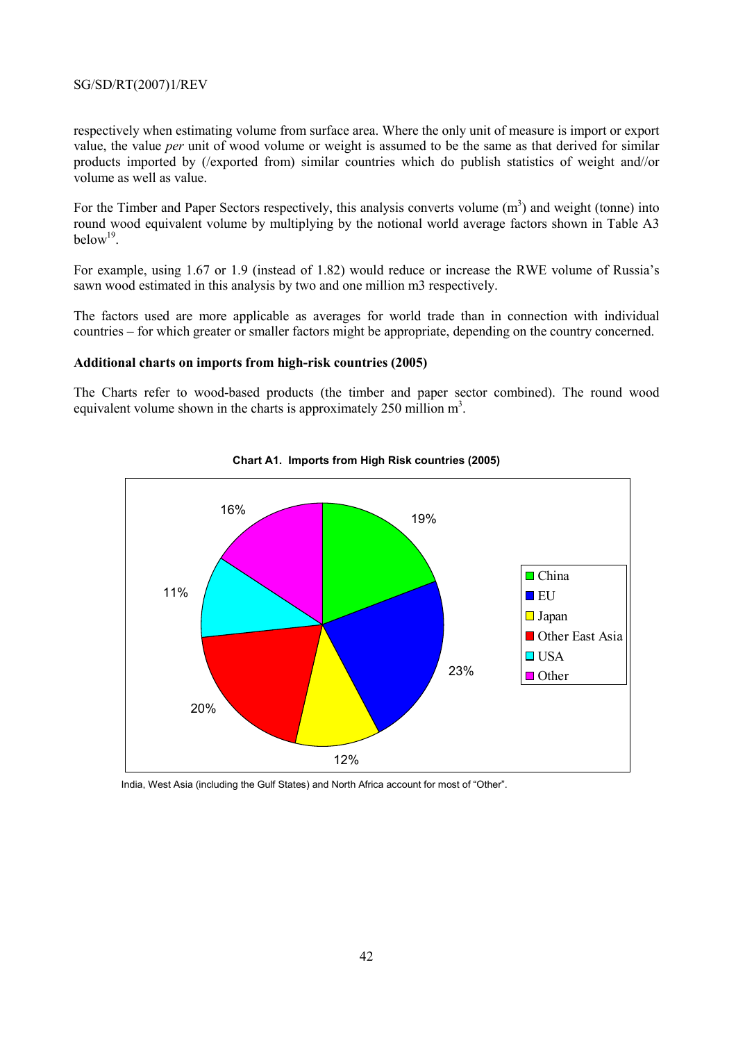respectively when estimating volume from surface area. Where the only unit of measure is import or export value, the value *per* unit of wood volume or weight is assumed to be the same as that derived for similar products imported by (/exported from) similar countries which do publish statistics of weight and//or volume as well as value.

For the Timber and Paper Sectors respectively, this analysis converts volume  $(m<sup>3</sup>)$  and weight (tonne) into round wood equivalent volume by multiplying by the notional world average factors shown in Table A3  $below<sup>19</sup>$ 

For example, using 1.67 or 1.9 (instead of 1.82) would reduce or increase the RWE volume of Russia's sawn wood estimated in this analysis by two and one million m3 respectively.

The factors used are more applicable as averages for world trade than in connection with individual countries – for which greater or smaller factors might be appropriate, depending on the country concerned.

#### **Additional charts on imports from high-risk countries (2005)**

The Charts refer to wood-based products (the timber and paper sector combined). The round wood equivalent volume shown in the charts is approximately 250 million  $m<sup>3</sup>$ .



#### **Chart A1. Imports from High Risk countries (2005)**

India, West Asia (including the Gulf States) and North Africa account for most of "Other".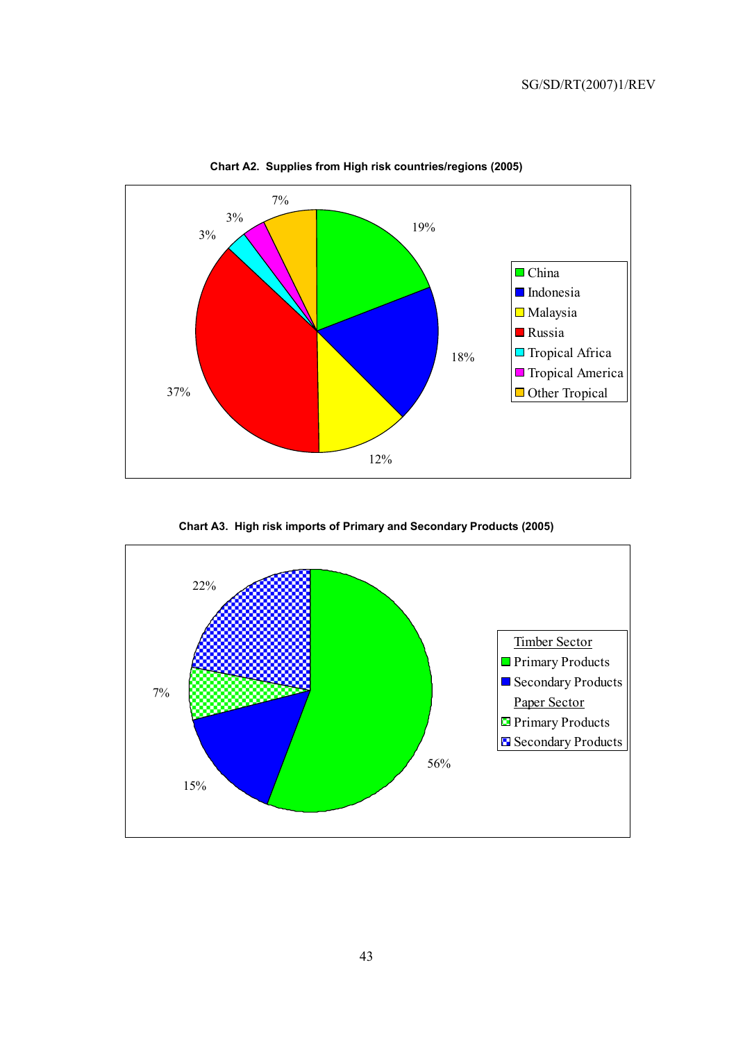

**Chart A2. Supplies from High risk countries/regions (2005)** 

**Chart A3. High risk imports of Primary and Secondary Products (2005)** 

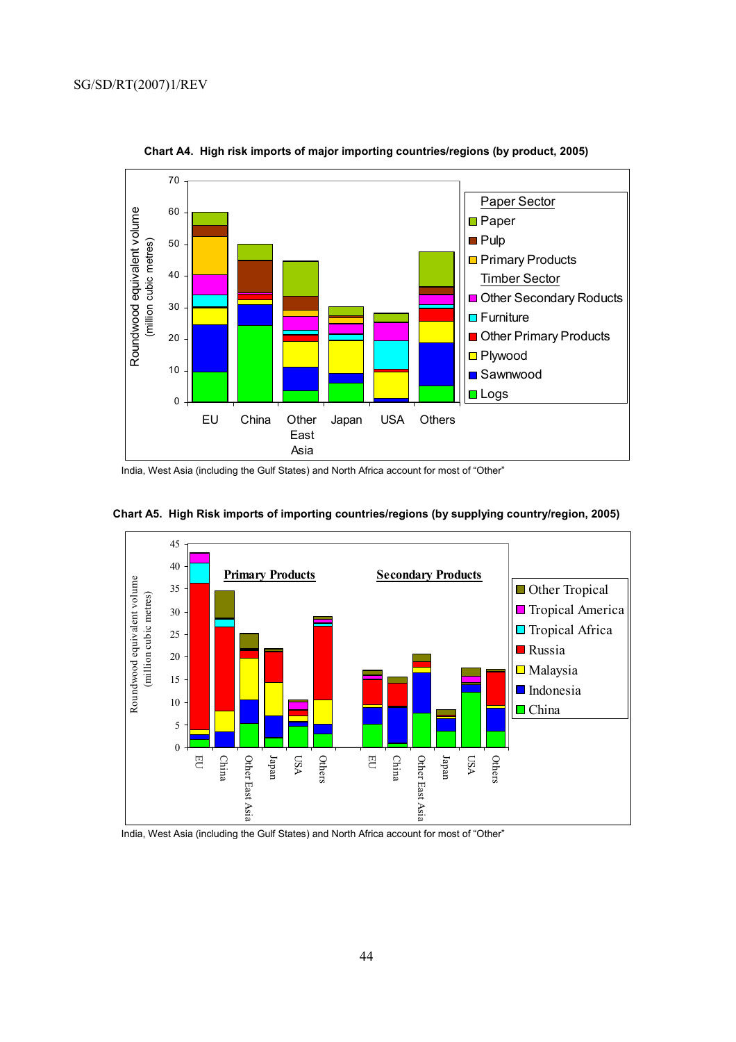

**Chart A4. High risk imports of major importing countries/regions (by product, 2005)** 

India, West Asia (including the Gulf States) and North Africa account for most of "Other"



**Chart A5. High Risk imports of importing countries/regions (by supplying country/region, 2005)** 

India, West Asia (including the Gulf States) and North Africa account for most of "Other"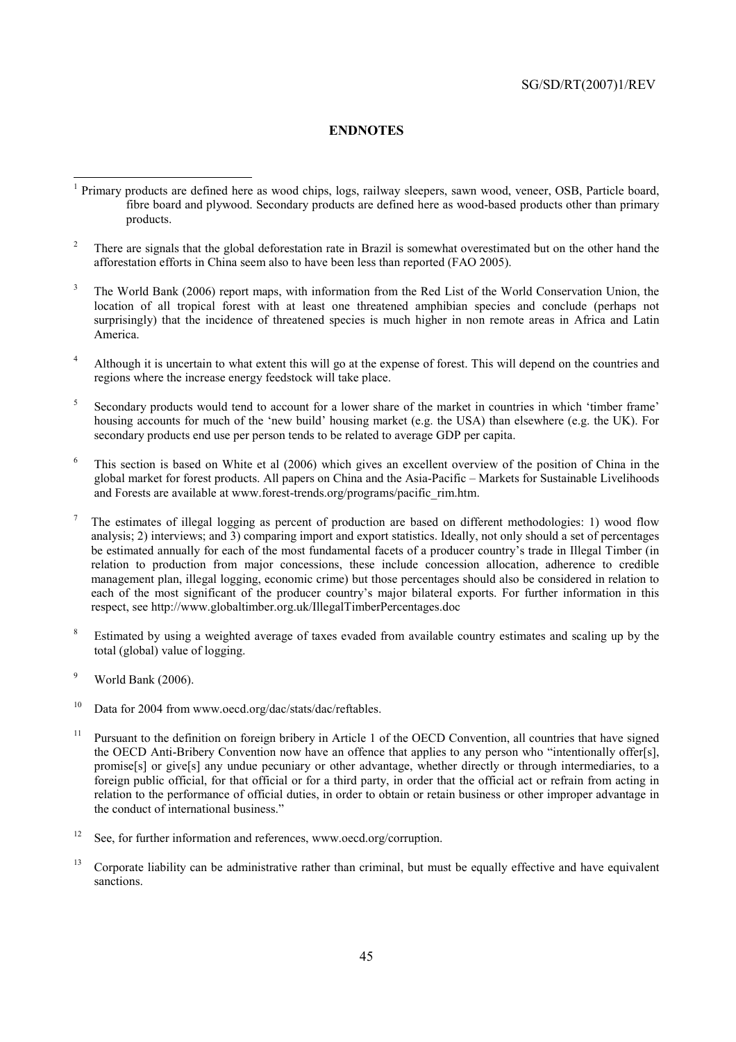#### **ENDNOTES**

- <sup>1</sup> Primary products are defined here as wood chips, logs, railway sleepers, sawn wood, veneer, OSB, Particle board, fibre board and plywood. Secondary products are defined here as wood-based products other than primary products.
- 2 There are signals that the global deforestation rate in Brazil is somewhat overestimated but on the other hand the afforestation efforts in China seem also to have been less than reported (FAO 2005).
- 3 The World Bank (2006) report maps, with information from the Red List of the World Conservation Union, the location of all tropical forest with at least one threatened amphibian species and conclude (perhaps not surprisingly) that the incidence of threatened species is much higher in non remote areas in Africa and Latin America.
- 4 Although it is uncertain to what extent this will go at the expense of forest. This will depend on the countries and regions where the increase energy feedstock will take place.
- 5 Secondary products would tend to account for a lower share of the market in countries in which 'timber frame' housing accounts for much of the 'new build' housing market (e.g. the USA) than elsewhere (e.g. the UK). For secondary products end use per person tends to be related to average GDP per capita.
- 6 This section is based on White et al (2006) which gives an excellent overview of the position of China in the global market for forest products. All papers on China and the Asia-Pacific – Markets for Sustainable Livelihoods and Forests are available at www.forest-trends.org/programs/pacific\_rim.htm.
- 7 The estimates of illegal logging as percent of production are based on different methodologies: 1) wood flow analysis; 2) interviews; and 3) comparing import and export statistics. Ideally, not only should a set of percentages be estimated annually for each of the most fundamental facets of a producer country's trade in Illegal Timber (in relation to production from major concessions, these include concession allocation, adherence to credible management plan, illegal logging, economic crime) but those percentages should also be considered in relation to each of the most significant of the producer country's major bilateral exports. For further information in this respect, see http://www.globaltimber.org.uk/IllegalTimberPercentages.doc
- 8 Estimated by using a weighted average of taxes evaded from available country estimates and scaling up by the total (global) value of logging.
- 9 World Bank (2006).
- <sup>10</sup> Data for 2004 from www.oecd.org/dac/stats/dac/reftables.
- <sup>11</sup> Pursuant to the definition on foreign bribery in Article 1 of the OECD Convention, all countries that have signed the OECD Anti-Bribery Convention now have an offence that applies to any person who "intentionally offer[s], promise[s] or give[s] any undue pecuniary or other advantage, whether directly or through intermediaries, to a foreign public official, for that official or for a third party, in order that the official act or refrain from acting in relation to the performance of official duties, in order to obtain or retain business or other improper advantage in the conduct of international business."
- <sup>12</sup> See, for further information and references, www.oecd.org/corruption.
- <sup>13</sup> Corporate liability can be administrative rather than criminal, but must be equally effective and have equivalent sanctions.